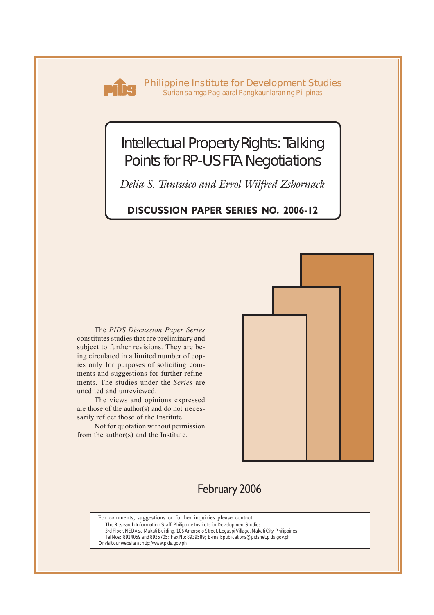

**Philippine Institute for Development Studies** *Surian sa mga Pag-aaral Pangkaunlaran ng Pilipinas*

# Intellectual Property Rights: Talking Points for RP-US FTA Negotiations

*Delia S. Tantuico and Errol Wilfred Zshornack*

# **DISCUSSION PAPER SERIES NO. 2006-12**

The *PIDS Discussion Paper Series* constitutes studies that are preliminary and subject to further revisions. They are being circulated in a limited number of copies only for purposes of soliciting comments and suggestions for further refinements. The studies under the *Series* are unedited and unreviewed.

The views and opinions expressed are those of the author(s) and do not necessarily reflect those of the Institute.

Not for quotation without permission from the author(s) and the Institute.



# February 2006

For comments, suggestions or further inquiries please contact: **The Research Information Staff,** Philippine Institute for Development Studies 3rd Floor, NEDA sa Makati Building, 106 Amorsolo Street, Legaspi Village, Makati City, Philippines Tel Nos: 8924059 and 8935705; Fax No: 8939589; E-mail: publications@pidsnet.pids.gov.ph

Or visit our website at http://www.pids.gov.ph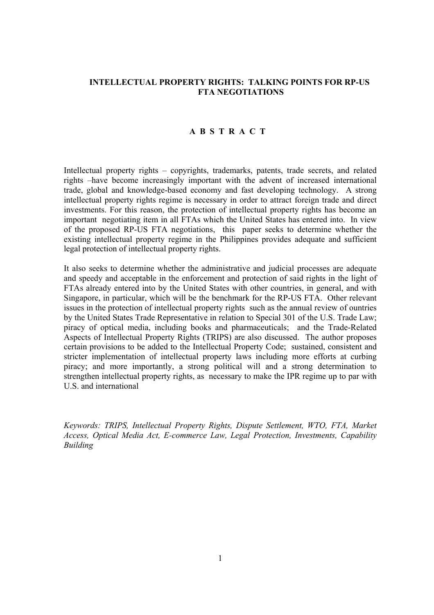### **INTELLECTUAL PROPERTY RIGHTS: TALKING POINTS FOR RP-US FTA NEGOTIATIONS**

#### **A B S T R A C T**

Intellectual property rights – copyrights, trademarks, patents, trade secrets, and related rights –have become increasingly important with the advent of increased international trade, global and knowledge-based economy and fast developing technology. A strong intellectual property rights regime is necessary in order to attract foreign trade and direct investments. For this reason, the protection of intellectual property rights has become an important negotiating item in all FTAs which the United States has entered into. In view of the proposed RP-US FTA negotiations, this paper seeks to determine whether the existing intellectual property regime in the Philippines provides adequate and sufficient legal protection of intellectual property rights.

It also seeks to determine whether the administrative and judicial processes are adequate and speedy and acceptable in the enforcement and protection of said rights in the light of FTAs already entered into by the United States with other countries, in general, and with Singapore, in particular, which will be the benchmark for the RP-US FTA. Other relevant issues in the protection of intellectual property rights such as the annual review of ountries by the United States Trade Representative in relation to Special 301 of the U.S. Trade Law; piracy of optical media, including books and pharmaceuticals; and the Trade-Related Aspects of Intellectual Property Rights (TRIPS) are also discussed. The author proposes certain provisions to be added to the Intellectual Property Code; sustained, consistent and stricter implementation of intellectual property laws including more efforts at curbing piracy; and more importantly, a strong political will and a strong determination to strengthen intellectual property rights, as necessary to make the IPR regime up to par with U.S. and international

*Keywords: TRIPS, Intellectual Property Rights, Dispute Settlement, WTO, FTA, Market Access, Optical Media Act, E-commerce Law, Legal Protection, Investments, Capability Building*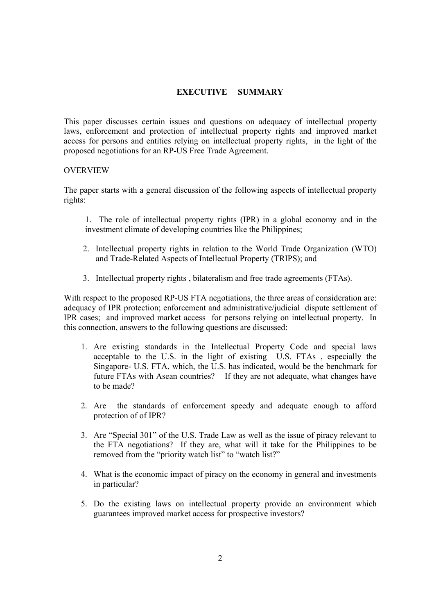## **EXECUTIVE SUMMARY**

This paper discusses certain issues and questions on adequacy of intellectual property laws, enforcement and protection of intellectual property rights and improved market access for persons and entities relying on intellectual property rights, in the light of the proposed negotiations for an RP-US Free Trade Agreement.

#### **OVERVIEW**

The paper starts with a general discussion of the following aspects of intellectual property rights:

- 1. The role of intellectual property rights (IPR) in a global economy and in the investment climate of developing countries like the Philippines;
- 2. Intellectual property rights in relation to the World Trade Organization (WTO) and Trade-Related Aspects of Intellectual Property (TRIPS); and
- 3. Intellectual property rights , bilateralism and free trade agreements (FTAs).

With respect to the proposed RP-US FTA negotiations, the three areas of consideration are: adequacy of IPR protection; enforcement and administrative/judicial dispute settlement of IPR cases; and improved market access for persons relying on intellectual property. In this connection, answers to the following questions are discussed:

- 1. Are existing standards in the Intellectual Property Code and special laws acceptable to the U.S. in the light of existing U.S. FTAs , especially the Singapore- U.S. FTA, which, the U.S. has indicated, would be the benchmark for future FTAs with Asean countries? If they are not adequate, what changes have to be made?
- 2. Are the standards of enforcement speedy and adequate enough to afford protection of of IPR?
- 3. Are "Special 301" of the U.S. Trade Law as well as the issue of piracy relevant to the FTA negotiations? If they are, what will it take for the Philippines to be removed from the "priority watch list" to "watch list?"
- 4. What is the economic impact of piracy on the economy in general and investments in particular?
- 5. Do the existing laws on intellectual property provide an environment which guarantees improved market access for prospective investors?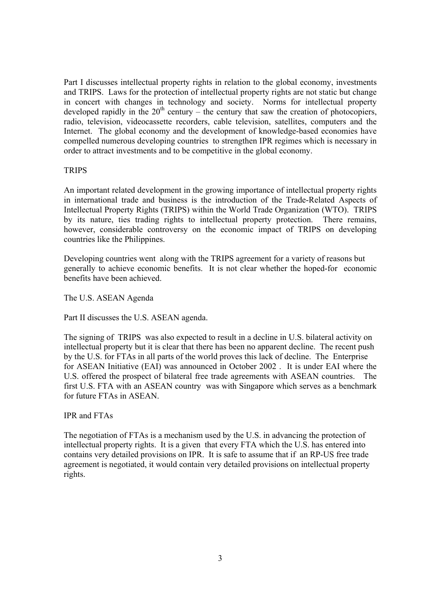Part I discusses intellectual property rights in relation to the global economy, investments and TRIPS. Laws for the protection of intellectual property rights are not static but change in concert with changes in technology and society. Norms for intellectual property developed rapidly in the  $20<sup>th</sup>$  century – the century that saw the creation of photocopiers, radio, television, videocassette recorders, cable television, satellites, computers and the Internet. The global economy and the development of knowledge-based economies have compelled numerous developing countries to strengthen IPR regimes which is necessary in order to attract investments and to be competitive in the global economy.

#### **TRIPS**

An important related development in the growing importance of intellectual property rights in international trade and business is the introduction of the Trade-Related Aspects of Intellectual Property Rights (TRIPS) within the World Trade Organization (WTO). TRIPS by its nature, ties trading rights to intellectual property protection. There remains, however, considerable controversy on the economic impact of TRIPS on developing countries like the Philippines.

Developing countries went along with the TRIPS agreement for a variety of reasons but generally to achieve economic benefits. It is not clear whether the hoped-for economic benefits have been achieved.

The U.S. ASEAN Agenda

Part II discusses the U.S. ASEAN agenda.

The signing of TRIPS was also expected to result in a decline in U.S. bilateral activity on intellectual property but it is clear that there has been no apparent decline. The recent push by the U.S. for FTAs in all parts of the world proves this lack of decline. The Enterprise for ASEAN Initiative (EAI) was announced in October 2002 . It is under EAI where the U.S. offered the prospect of bilateral free trade agreements with ASEAN countries. The first U.S. FTA with an ASEAN country was with Singapore which serves as a benchmark for future FTAs in ASEAN.

IPR and FTAs

The negotiation of FTAs is a mechanism used by the U.S. in advancing the protection of intellectual property rights. It is a given that every FTA which the U.S. has entered into contains very detailed provisions on IPR. It is safe to assume that if an RP-US free trade agreement is negotiated, it would contain very detailed provisions on intellectual property rights.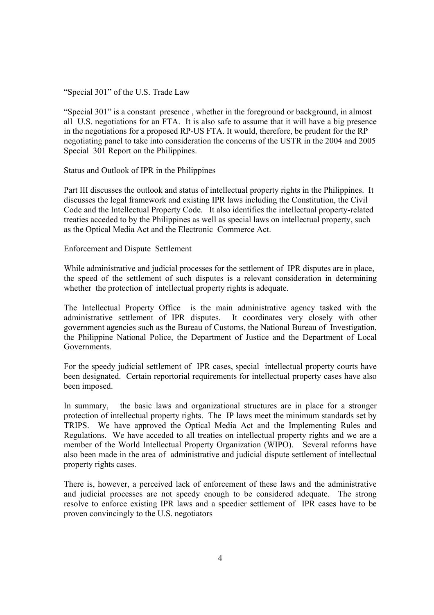"Special 301" of the U.S. Trade Law

"Special 301" is a constant presence , whether in the foreground or background, in almost all U.S. negotiations for an FTA. It is also safe to assume that it will have a big presence in the negotiations for a proposed RP-US FTA. It would, therefore, be prudent for the RP negotiating panel to take into consideration the concerns of the USTR in the 2004 and 2005 Special 301 Report on the Philippines.

Status and Outlook of IPR in the Philippines

Part III discusses the outlook and status of intellectual property rights in the Philippines. It discusses the legal framework and existing IPR laws including the Constitution, the Civil Code and the Intellectual Property Code. It also identifies the intellectual property-related treaties acceded to by the Philippines as well as special laws on intellectual property, such as the Optical Media Act and the Electronic Commerce Act.

Enforcement and Dispute Settlement

While administrative and judicial processes for the settlement of IPR disputes are in place, the speed of the settlement of such disputes is a relevant consideration in determining whether the protection of intellectual property rights is adequate.

The Intellectual Property Office is the main administrative agency tasked with the administrative settlement of IPR disputes. It coordinates very closely with other government agencies such as the Bureau of Customs, the National Bureau of Investigation, the Philippine National Police, the Department of Justice and the Department of Local Governments.

For the speedy judicial settlement of IPR cases, special intellectual property courts have been designated. Certain reportorial requirements for intellectual property cases have also been imposed.

In summary, the basic laws and organizational structures are in place for a stronger protection of intellectual property rights. The IP laws meet the minimum standards set by TRIPS. We have approved the Optical Media Act and the Implementing Rules and Regulations. We have acceded to all treaties on intellectual property rights and we are a member of the World Intellectual Property Organization (WIPO). Several reforms have also been made in the area of administrative and judicial dispute settlement of intellectual property rights cases.

There is, however, a perceived lack of enforcement of these laws and the administrative and judicial processes are not speedy enough to be considered adequate. The strong resolve to enforce existing IPR laws and a speedier settlement of IPR cases have to be proven convincingly to the U.S. negotiators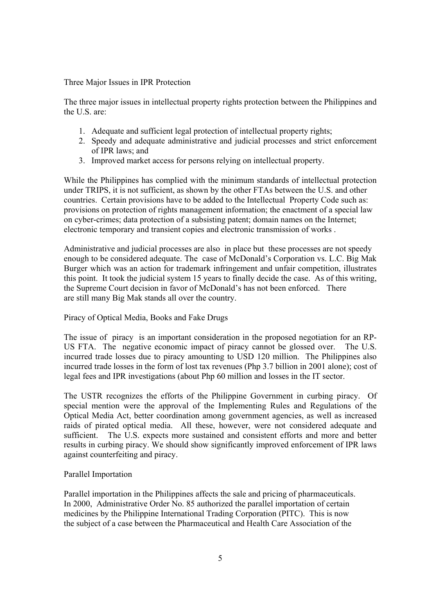#### Three Major Issues in IPR Protection

The three major issues in intellectual property rights protection between the Philippines and the U.S. are:

- 1. Adequate and sufficient legal protection of intellectual property rights;
- 2. Speedy and adequate administrative and judicial processes and strict enforcement of IPR laws; and
- 3. Improved market access for persons relying on intellectual property.

While the Philippines has complied with the minimum standards of intellectual protection under TRIPS, it is not sufficient, as shown by the other FTAs between the U.S. and other countries. Certain provisions have to be added to the Intellectual Property Code such as: provisions on protection of rights management information; the enactment of a special law on cyber-crimes; data protection of a subsisting patent; domain names on the Internet; electronic temporary and transient copies and electronic transmission of works .

Administrative and judicial processes are also in place but these processes are not speedy enough to be considered adequate. The case of McDonald's Corporation vs. L.C. Big Mak Burger which was an action for trademark infringement and unfair competition, illustrates this point. It took the judicial system 15 years to finally decide the case. As of this writing, the Supreme Court decision in favor of McDonald's has not been enforced. There are still many Big Mak stands all over the country.

#### Piracy of Optical Media, Books and Fake Drugs

The issue of piracy is an important consideration in the proposed negotiation for an RP-US FTA. The negative economic impact of piracy cannot be glossed over. The U.S. incurred trade losses due to piracy amounting to USD 120 million. The Philippines also incurred trade losses in the form of lost tax revenues (Php 3.7 billion in 2001 alone); cost of legal fees and IPR investigations (about Php 60 million and losses in the IT sector.

The USTR recognizes the efforts of the Philippine Government in curbing piracy. Of special mention were the approval of the Implementing Rules and Regulations of the Optical Media Act, better coordination among government agencies, as well as increased raids of pirated optical media. All these, however, were not considered adequate and sufficient. The U.S. expects more sustained and consistent efforts and more and better results in curbing piracy. We should show significantly improved enforcement of IPR laws against counterfeiting and piracy.

#### Parallel Importation

Parallel importation in the Philippines affects the sale and pricing of pharmaceuticals. In 2000, Administrative Order No. 85 authorized the parallel importation of certain medicines by the Philippine International Trading Corporation (PITC). This is now the subject of a case between the Pharmaceutical and Health Care Association of the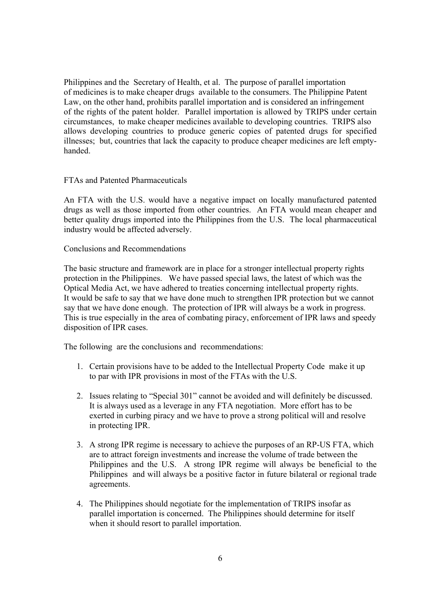Philippines and the Secretary of Health, et al. The purpose of parallel importation of medicines is to make cheaper drugs available to the consumers. The Philippine Patent Law, on the other hand, prohibits parallel importation and is considered an infringement of the rights of the patent holder. Parallel importation is allowed by TRIPS under certain circumstances, to make cheaper medicines available to developing countries. TRIPS also allows developing countries to produce generic copies of patented drugs for specified illnesses; but, countries that lack the capacity to produce cheaper medicines are left emptyhanded.

FTAs and Patented Pharmaceuticals

An FTA with the U.S. would have a negative impact on locally manufactured patented drugs as well as those imported from other countries. An FTA would mean cheaper and better quality drugs imported into the Philippines from the U.S. The local pharmaceutical industry would be affected adversely.

Conclusions and Recommendations

The basic structure and framework are in place for a stronger intellectual property rights protection in the Philippines. We have passed special laws, the latest of which was the Optical Media Act, we have adhered to treaties concerning intellectual property rights. It would be safe to say that we have done much to strengthen IPR protection but we cannot say that we have done enough. The protection of IPR will always be a work in progress. This is true especially in the area of combating piracy, enforcement of IPR laws and speedy disposition of IPR cases.

The following are the conclusions and recommendations:

- 1. Certain provisions have to be added to the Intellectual Property Code make it up to par with IPR provisions in most of the FTAs with the U.S.
- 2. Issues relating to "Special 301" cannot be avoided and will definitely be discussed. It is always used as a leverage in any FTA negotiation. More effort has to be exerted in curbing piracy and we have to prove a strong political will and resolve in protecting IPR.
- 3. A strong IPR regime is necessary to achieve the purposes of an RP-US FTA, which are to attract foreign investments and increase the volume of trade between the Philippines and the U.S. A strong IPR regime will always be beneficial to the Philippines and will always be a positive factor in future bilateral or regional trade agreements.
- 4. The Philippines should negotiate for the implementation of TRIPS insofar as parallel importation is concerned. The Philippines should determine for itself when it should resort to parallel importation.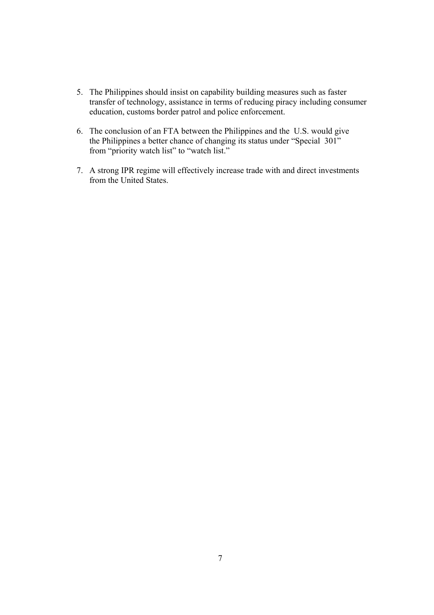- 5. The Philippines should insist on capability building measures such as faster transfer of technology, assistance in terms of reducing piracy including consumer education, customs border patrol and police enforcement.
- 6. The conclusion of an FTA between the Philippines and the U.S. would give the Philippines a better chance of changing its status under "Special 301" from "priority watch list" to "watch list."
- 7. A strong IPR regime will effectively increase trade with and direct investments from the United States.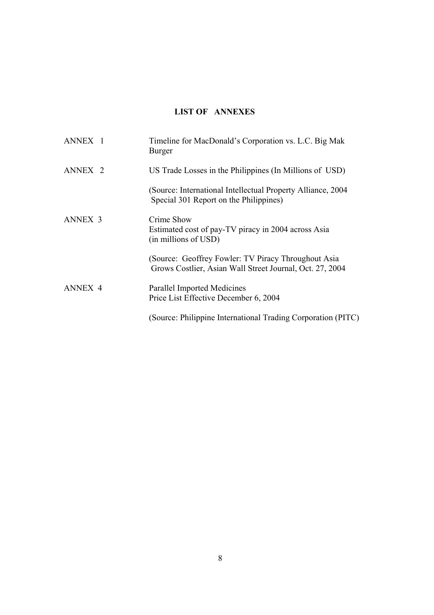# **LIST OF ANNEXES**

| ANNEX <sub>1</sub> | Timeline for MacDonald's Corporation vs. L.C. Big Mak<br>Burger                                                 |
|--------------------|-----------------------------------------------------------------------------------------------------------------|
| ANNEX <sub>2</sub> | US Trade Losses in the Philippines (In Millions of USD)                                                         |
|                    | (Source: International Intellectual Property Alliance, 2004)<br>Special 301 Report on the Philippines)          |
| <b>ANNEX 3</b>     | Crime Show<br>Estimated cost of pay-TV piracy in 2004 across Asia<br>(in millions of USD)                       |
|                    | (Source: Geoffrey Fowler: TV Piracy Throughout Asia<br>Grows Costlier, Asian Wall Street Journal, Oct. 27, 2004 |
| ANNEX <sub>4</sub> | <b>Parallel Imported Medicines</b><br>Price List Effective December 6, 2004                                     |
|                    | (Source: Philippine International Trading Corporation (PITC)                                                    |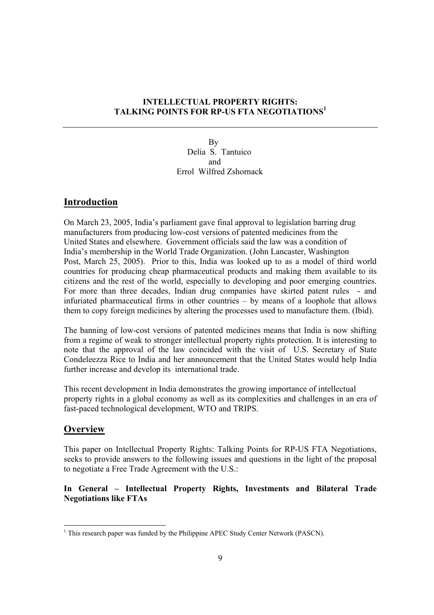# **INTELLECTUAL PROPERTY RIGHTS: TALKING POINTS FOR RP-US FTA NEGOTIATIONS1**

 By Delia S. Tantuico and Errol Wilfred Zshornack

# **Introduction**

On March 23, 2005, India's parliament gave final approval to legislation barring drug manufacturers from producing low-cost versions of patented medicines from the United States and elsewhere. Government officials said the law was a condition of India's membership in the World Trade Organization. (John Lancaster, Washington Post, March 25, 2005). Prior to this, India was looked up to as a model of third world countries for producing cheap pharmaceutical products and making them available to its citizens and the rest of the world, especially to developing and poor emerging countries. For more than three decades, Indian drug companies have skirted patent rules - and infuriated pharmaceutical firms in other countries – by means of a loophole that allows them to copy foreign medicines by altering the processes used to manufacture them. (Ibid).

The banning of low-cost versions of patented medicines means that India is now shifting from a regime of weak to stronger intellectual property rights protection. It is interesting to note that the approval of the law coincided with the visit of U.S. Secretary of State Condeleezza Rice to India and her announcement that the United States would help India further increase and develop its international trade.

This recent development in India demonstrates the growing importance of intellectual property rights in a global economy as well as its complexities and challenges in an era of fast-paced technological development, WTO and TRIPS.

# **Overview**

This paper on Intellectual Property Rights: Talking Points for RP-US FTA Negotiations, seeks to provide answers to the following issues and questions in the light of the proposal to negotiate a Free Trade Agreement with the U.S.:

# **In General – Intellectual Property Rights, Investments and Bilateral Trade Negotiations like FTAs**

 $\overline{a}$  $<sup>1</sup>$  This research paper was funded by the Philippine APEC Study Center Network (PASCN).</sup>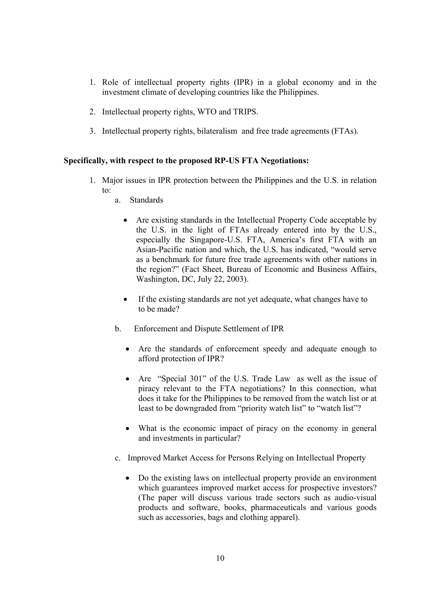- 1. Role of intellectual property rights (IPR) in a global economy and in the investment climate of developing countries like the Philippines.
- 2. Intellectual property rights, WTO and TRIPS.
- 3. Intellectual property rights, bilateralism and free trade agreements (FTAs).

#### **Specifically, with respect to the proposed RP-US FTA Negotiations:**

- 1. Major issues in IPR protection between the Philippines and the U.S. in relation to:
	- a. Standards
		- Are existing standards in the Intellectual Property Code acceptable by the U.S. in the light of FTAs already entered into by the U.S., especially the Singapore-U.S. FTA, America's first FTA with an Asian-Pacific nation and which, the U.S. has indicated, "would serve as a benchmark for future free trade agreements with other nations in the region?" (Fact Sheet, Bureau of Economic and Business Affairs, Washington, DC, July 22, 2003).
		- If the existing standards are not yet adequate, what changes have to to be made?
	- b. Enforcement and Dispute Settlement of IPR
		- Are the standards of enforcement speedy and adequate enough to afford protection of IPR?
		- Are "Special 301" of the U.S. Trade Law as well as the issue of piracy relevant to the FTA negotiations? In this connection, what does it take for the Philippines to be removed from the watch list or at least to be downgraded from "priority watch list" to "watch list"?
		- What is the economic impact of piracy on the economy in general and investments in particular?
	- c. Improved Market Access for Persons Relying on Intellectual Property
		- Do the existing laws on intellectual property provide an environment which guarantees improved market access for prospective investors? (The paper will discuss various trade sectors such as audio-visual products and software, books, pharmaceuticals and various goods such as accessories, bags and clothing apparel).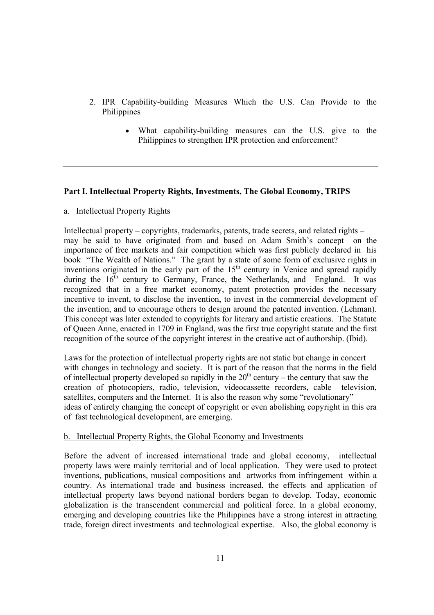- 2. IPR Capability-building Measures Which the U.S. Can Provide to the Philippines
	- What capability-building measures can the U.S. give to the Philippines to strengthen IPR protection and enforcement?

## **Part I. Intellectual Property Rights, Investments, The Global Economy, TRIPS**

#### a. Intellectual Property Rights

Intellectual property – copyrights, trademarks, patents, trade secrets, and related rights – may be said to have originated from and based on Adam Smith's concept on the importance of free markets and fair competition which was first publicly declared in his book "The Wealth of Nations." The grant by a state of some form of exclusive rights in inventions originated in the early part of the  $15<sup>th</sup>$  century in Venice and spread rapidly during the  $16<sup>th</sup>$  century to Germany, France, the Netherlands, and England. It was recognized that in a free market economy, patent protection provides the necessary incentive to invent, to disclose the invention, to invest in the commercial development of the invention, and to encourage others to design around the patented invention. (Lehman). This concept was later extended to copyrights for literary and artistic creations. The Statute of Queen Anne, enacted in 1709 in England, was the first true copyright statute and the first recognition of the source of the copyright interest in the creative act of authorship. (Ibid).

Laws for the protection of intellectual property rights are not static but change in concert with changes in technology and society. It is part of the reason that the norms in the field of intellectual property developed so rapidly in the  $20<sup>th</sup>$  century – the century that saw the creation of photocopiers, radio, television, videocassette recorders, cable television, satellites, computers and the Internet. It is also the reason why some "revolutionary" ideas of entirely changing the concept of copyright or even abolishing copyright in this era of fast technological development, are emerging.

#### b. Intellectual Property Rights, the Global Economy and Investments

Before the advent of increased international trade and global economy, intellectual property laws were mainly territorial and of local application. They were used to protect inventions, publications, musical compositions and artworks from infringement within a country. As international trade and business increased, the effects and application of intellectual property laws beyond national borders began to develop. Today, economic globalization is the transcendent commercial and political force. In a global economy, emerging and developing countries like the Philippines have a strong interest in attracting trade, foreign direct investments and technological expertise. Also, the global economy is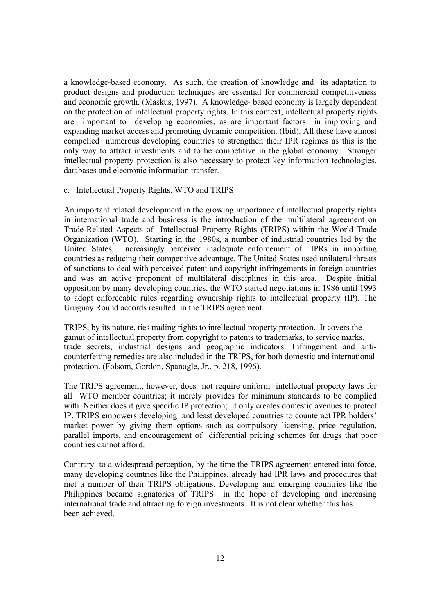a knowledge-based economy. As such, the creation of knowledge and its adaptation to product designs and production techniques are essential for commercial competitiveness and economic growth. (Maskus, 1997). A knowledge- based economy is largely dependent on the protection of intellectual property rights. In this context, intellectual property rights are important to developing economies, as are important factors in improving and expanding market access and promoting dynamic competition. (Ibid). All these have almost compelled numerous developing countries to strengthen their IPR regimes as this is the only way to attract investments and to be competitive in the global economy. Stronger intellectual property protection is also necessary to protect key information technologies, databases and electronic information transfer.

#### c. Intellectual Property Rights, WTO and TRIPS

An important related development in the growing importance of intellectual property rights in international trade and business is the introduction of the multilateral agreement on Trade-Related Aspects of Intellectual Property Rights (TRIPS) within the World Trade Organization (WTO). Starting in the 1980s, a number of industrial countries led by the United States, increasingly perceived inadequate enforcement of IPRs in importing countries as reducing their competitive advantage. The United States used unilateral threats of sanctions to deal with perceived patent and copyright infringements in foreign countries and was an active proponent of multilateral disciplines in this area. Despite initial opposition by many developing countries, the WTO started negotiations in 1986 until 1993 to adopt enforceable rules regarding ownership rights to intellectual property (IP). The Uruguay Round accords resulted in the TRIPS agreement.

TRIPS, by its nature, ties trading rights to intellectual property protection. It covers the gamut of intellectual property from copyright to patents to trademarks, to service marks, trade secrets, industrial designs and geographic indicators. Infringement and anticounterfeiting remedies are also included in the TRIPS, for both domestic and international protection. (Folsom, Gordon, Spanogle, Jr., p. 218, 1996).

The TRIPS agreement, however, does not require uniform intellectual property laws for all WTO member countries; it merely provides for minimum standards to be complied with. Neither does it give specific IP protection; it only creates domestic avenues to protect IP. TRIPS empowers developing and least developed countries to counteract IPR holders' market power by giving them options such as compulsory licensing, price regulation, parallel imports, and encouragement of differential pricing schemes for drugs that poor countries cannot afford.

Contrary to a widespread perception, by the time the TRIPS agreement entered into force, many developing countries like the Philippines, already had IPR laws and procedures that met a number of their TRIPS obligations. Developing and emerging countries like the Philippines became signatories of TRIPS in the hope of developing and increasing international trade and attracting foreign investments. It is not clear whether this has been achieved.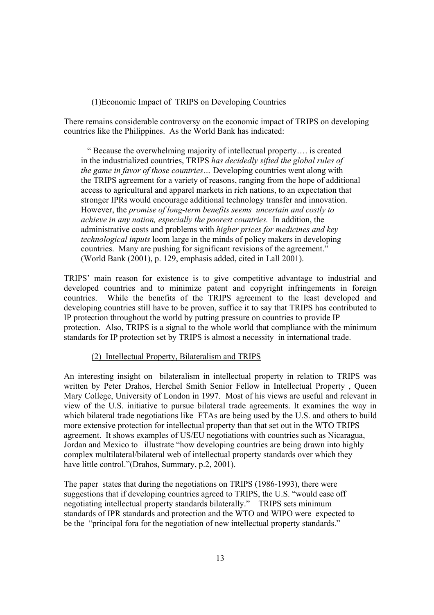#### (1)Economic Impact of TRIPS on Developing Countries

There remains considerable controversy on the economic impact of TRIPS on developing countries like the Philippines. As the World Bank has indicated:

 " Because the overwhelming majority of intellectual property…. is created in the industrialized countries, TRIPS *has decidedly sifted the global rules of the game in favor of those countries…* Developing countries went along with the TRIPS agreement for a variety of reasons, ranging from the hope of additional access to agricultural and apparel markets in rich nations, to an expectation that stronger IPRs would encourage additional technology transfer and innovation. However, the *promise of long-term benefits seems uncertain and costly to achieve in any nation, especially the poorest countries.* In addition, the administrative costs and problems with *higher prices for medicines and key technological inputs* loom large in the minds of policy makers in developing countries. Many are pushing for significant revisions of the agreement." (World Bank (2001), p. 129, emphasis added, cited in Lall 2001).

TRIPS' main reason for existence is to give competitive advantage to industrial and developed countries and to minimize patent and copyright infringements in foreign countries. While the benefits of the TRIPS agreement to the least developed and developing countries still have to be proven, suffice it to say that TRIPS has contributed to IP protection throughout the world by putting pressure on countries to provide IP protection. Also, TRIPS is a signal to the whole world that compliance with the minimum standards for IP protection set by TRIPS is almost a necessity in international trade.

#### (2) Intellectual Property, Bilateralism and TRIPS

An interesting insight on bilateralism in intellectual property in relation to TRIPS was written by Peter Drahos, Herchel Smith Senior Fellow in Intellectual Property , Queen Mary College, University of London in 1997. Most of his views are useful and relevant in view of the U.S. initiative to pursue bilateral trade agreements. It examines the way in which bilateral trade negotiations like FTAs are being used by the U.S. and others to build more extensive protection for intellectual property than that set out in the WTO TRIPS agreement. It shows examples of US/EU negotiations with countries such as Nicaragua, Jordan and Mexico to illustrate "how developing countries are being drawn into highly complex multilateral/bilateral web of intellectual property standards over which they have little control."(Drahos, Summary, p.2, 2001).

The paper states that during the negotiations on TRIPS (1986-1993), there were suggestions that if developing countries agreed to TRIPS, the U.S. "would ease off negotiating intellectual property standards bilaterally." TRIPS sets minimum standards of IPR standards and protection and the WTO and WIPO were expected to be the "principal fora for the negotiation of new intellectual property standards."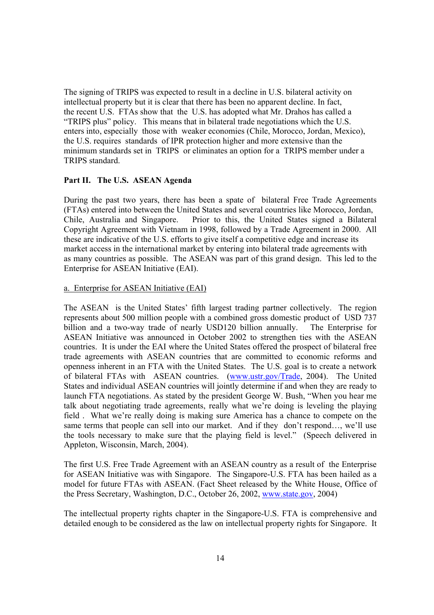The signing of TRIPS was expected to result in a decline in U.S. bilateral activity on intellectual property but it is clear that there has been no apparent decline. In fact, the recent U.S. FTAs show that the U.S. has adopted what Mr. Drahos has called a "TRIPS plus" policy. This means that in bilateral trade negotiations which the U.S. enters into, especially those with weaker economies (Chile, Morocco, Jordan, Mexico), the U.S. requires standards of IPR protection higher and more extensive than the minimum standards set in TRIPS or eliminates an option for a TRIPS member under a TRIPS standard.

#### **Part II. The U.S. ASEAN Agenda**

During the past two years, there has been a spate of bilateral Free Trade Agreements (FTAs) entered into between the United States and several countries like Morocco, Jordan, Chile, Australia and Singapore. Prior to this, the United States signed a Bilateral Copyright Agreement with Vietnam in 1998, followed by a Trade Agreement in 2000. All these are indicative of the U.S. efforts to give itself a competitive edge and increase its market access in the international market by entering into bilateral trade agreements with as many countries as possible. The ASEAN was part of this grand design. This led to the Enterprise for ASEAN Initiative (EAI).

#### a. Enterprise for ASEAN Initiative (EAI)

The ASEAN is the United States' fifth largest trading partner collectively. The region represents about 500 million people with a combined gross domestic product of USD 737 billion and a two-way trade of nearly USD120 billion annually. The Enterprise for ASEAN Initiative was announced in October 2002 to strengthen ties with the ASEAN countries. It is under the EAI where the United States offered the prospect of bilateral free trade agreements with ASEAN countries that are committed to economic reforms and openness inherent in an FTA with the United States. The U.S. goal is to create a network of bilateral FTAs with ASEAN countries. (www.ustr.gov/Trade, 2004). The United States and individual ASEAN countries will jointly determine if and when they are ready to launch FTA negotiations. As stated by the president George W. Bush, "When you hear me talk about negotiating trade agreements, really what we're doing is leveling the playing field . What we're really doing is making sure America has a chance to compete on the same terms that people can sell into our market. And if they don't respond…, we'll use the tools necessary to make sure that the playing field is level." (Speech delivered in Appleton, Wisconsin, March, 2004).

The first U.S. Free Trade Agreement with an ASEAN country as a result of the Enterprise for ASEAN Initiative was with Singapore. The Singapore-U.S. FTA has been hailed as a model for future FTAs with ASEAN. (Fact Sheet released by the White House, Office of the Press Secretary, Washington, D.C., October 26, 2002, www.state.gov, 2004)

The intellectual property rights chapter in the Singapore-U.S. FTA is comprehensive and detailed enough to be considered as the law on intellectual property rights for Singapore. It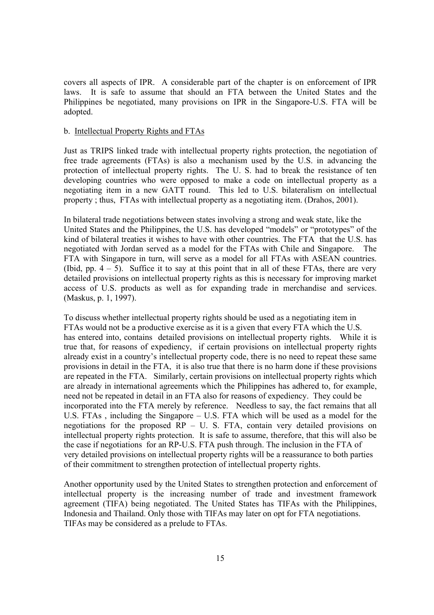covers all aspects of IPR. A considerable part of the chapter is on enforcement of IPR laws. It is safe to assume that should an FTA between the United States and the Philippines be negotiated, many provisions on IPR in the Singapore-U.S. FTA will be adopted.

#### b. Intellectual Property Rights and FTAs

Just as TRIPS linked trade with intellectual property rights protection, the negotiation of free trade agreements (FTAs) is also a mechanism used by the U.S. in advancing the protection of intellectual property rights. The U. S. had to break the resistance of ten developing countries who were opposed to make a code on intellectual property as a negotiating item in a new GATT round. This led to U.S. bilateralism on intellectual property ; thus, FTAs with intellectual property as a negotiating item. (Drahos, 2001).

In bilateral trade negotiations between states involving a strong and weak state, like the United States and the Philippines, the U.S. has developed "models" or "prototypes" of the kind of bilateral treaties it wishes to have with other countries. The FTA that the U.S. has negotiated with Jordan served as a model for the FTAs with Chile and Singapore. The FTA with Singapore in turn, will serve as a model for all FTAs with ASEAN countries. (Ibid, pp.  $4 - 5$ ). Suffice it to say at this point that in all of these FTAs, there are very detailed provisions on intellectual property rights as this is necessary for improving market access of U.S. products as well as for expanding trade in merchandise and services. (Maskus, p. 1, 1997).

To discuss whether intellectual property rights should be used as a negotiating item in FTAs would not be a productive exercise as it is a given that every FTA which the U.S. has entered into, contains detailed provisions on intellectual property rights. While it is true that, for reasons of expediency, if certain provisions on intellectual property rights already exist in a country's intellectual property code, there is no need to repeat these same provisions in detail in the FTA, it is also true that there is no harm done if these provisions are repeated in the FTA. Similarly, certain provisions on intellectual property rights which are already in international agreements which the Philippines has adhered to, for example, need not be repeated in detail in an FTA also for reasons of expediency. They could be incorporated into the FTA merely by reference. Needless to say, the fact remains that all U.S. FTAs , including the Singapore – U.S. FTA which will be used as a model for the negotiations for the proposed  $RP - U$ . S. FTA, contain very detailed provisions on intellectual property rights protection. It is safe to assume, therefore, that this will also be the case if negotiations for an RP-U.S. FTA push through. The inclusion in the FTA of very detailed provisions on intellectual property rights will be a reassurance to both parties of their commitment to strengthen protection of intellectual property rights.

Another opportunity used by the United States to strengthen protection and enforcement of intellectual property is the increasing number of trade and investment framework agreement (TIFA) being negotiated. The United States has TIFAs with the Philippines, Indonesia and Thailand. Only those with TIFAs may later on opt for FTA negotiations. TIFAs may be considered as a prelude to FTAs.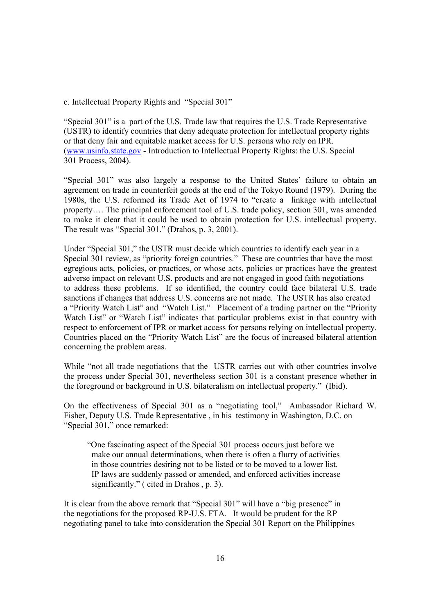#### c. Intellectual Property Rights and "Special 301"

"Special 301" is a part of the U.S. Trade law that requires the U.S. Trade Representative (USTR) to identify countries that deny adequate protection for intellectual property rights or that deny fair and equitable market access for U.S. persons who rely on IPR. (www.usinfo.state.gov - Introduction to Intellectual Property Rights: the U.S. Special 301 Process, 2004).

"Special 301" was also largely a response to the United States' failure to obtain an agreement on trade in counterfeit goods at the end of the Tokyo Round (1979). During the 1980s, the U.S. reformed its Trade Act of 1974 to "create a linkage with intellectual property…. The principal enforcement tool of U.S. trade policy, section 301, was amended to make it clear that it could be used to obtain protection for U.S. intellectual property. The result was "Special 301." (Drahos, p. 3, 2001).

Under "Special 301," the USTR must decide which countries to identify each year in a Special 301 review, as "priority foreign countries." These are countries that have the most egregious acts, policies, or practices, or whose acts, policies or practices have the greatest adverse impact on relevant U.S. products and are not engaged in good faith negotiations to address these problems. If so identified, the country could face bilateral U.S. trade sanctions if changes that address U.S. concerns are not made. The USTR has also created a "Priority Watch List" and "Watch List." Placement of a trading partner on the "Priority Watch List" or "Watch List" indicates that particular problems exist in that country with respect to enforcement of IPR or market access for persons relying on intellectual property. Countries placed on the "Priority Watch List" are the focus of increased bilateral attention concerning the problem areas.

While "not all trade negotiations that the USTR carries out with other countries involve the process under Special 301, nevertheless section 301 is a constant presence whether in the foreground or background in U.S. bilateralism on intellectual property." (Ibid).

On the effectiveness of Special 301 as a "negotiating tool," Ambassador Richard W. Fisher, Deputy U.S. Trade Representative , in his testimony in Washington, D.C. on "Special 301," once remarked:

 "One fascinating aspect of the Special 301 process occurs just before we make our annual determinations, when there is often a flurry of activities in those countries desiring not to be listed or to be moved to a lower list. IP laws are suddenly passed or amended, and enforced activities increase significantly." ( cited in Drahos , p. 3).

It is clear from the above remark that "Special 301" will have a "big presence" in the negotiations for the proposed RP-U.S. FTA. It would be prudent for the RP negotiating panel to take into consideration the Special 301 Report on the Philippines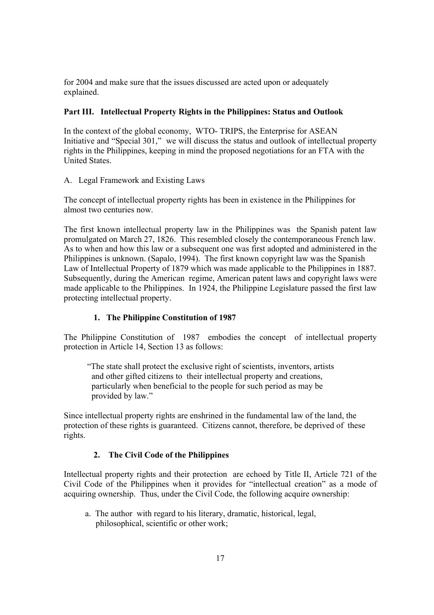for 2004 and make sure that the issues discussed are acted upon or adequately explained.

# **Part III. Intellectual Property Rights in the Philippines: Status and Outlook**

In the context of the global economy, WTO- TRIPS, the Enterprise for ASEAN Initiative and "Special 301," we will discuss the status and outlook of intellectual property rights in the Philippines, keeping in mind the proposed negotiations for an FTA with the United States.

A. Legal Framework and Existing Laws

The concept of intellectual property rights has been in existence in the Philippines for almost two centuries now.

The first known intellectual property law in the Philippines was the Spanish patent law promulgated on March 27, 1826. This resembled closely the contemporaneous French law. As to when and how this law or a subsequent one was first adopted and administered in the Philippines is unknown. (Sapalo, 1994). The first known copyright law was the Spanish Law of Intellectual Property of 1879 which was made applicable to the Philippines in 1887. Subsequently, during the American regime, American patent laws and copyright laws were made applicable to the Philippines. In 1924, the Philippine Legislature passed the first law protecting intellectual property.

# **1. The Philippine Constitution of 1987**

The Philippine Constitution of 1987 embodies the concept of intellectual property protection in Article 14, Section 13 as follows:

 "The state shall protect the exclusive right of scientists, inventors, artists and other gifted citizens to their intellectual property and creations, particularly when beneficial to the people for such period as may be provided by law."

Since intellectual property rights are enshrined in the fundamental law of the land, the protection of these rights is guaranteed. Citizens cannot, therefore, be deprived of these rights.

# **2. The Civil Code of the Philippines**

Intellectual property rights and their protection are echoed by Title II, Article 721 of the Civil Code of the Philippines when it provides for "intellectual creation" as a mode of acquiring ownership. Thus, under the Civil Code, the following acquire ownership:

 a. The author with regard to his literary, dramatic, historical, legal, philosophical, scientific or other work;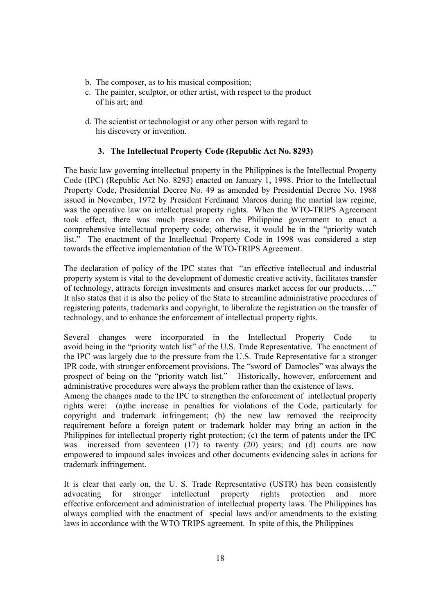- b. The composer, as to his musical composition;
- c. The painter, sculptor, or other artist, with respect to the product of his art; and
- d. The scientist or technologist or any other person with regard to his discovery or invention.

### **3. The Intellectual Property Code (Republic Act No. 8293)**

The basic law governing intellectual property in the Philippines is the Intellectual Property Code (IPC) (Republic Act No. 8293) enacted on January 1, 1998. Prior to the Intellectual Property Code, Presidential Decree No. 49 as amended by Presidential Decree No. 1988 issued in November, 1972 by President Ferdinand Marcos during the martial law regime, was the operative law on intellectual property rights. When the WTO-TRIPS Agreement took effect, there was much pressure on the Philippine government to enact a comprehensive intellectual property code; otherwise, it would be in the "priority watch list." The enactment of the Intellectual Property Code in 1998 was considered a step towards the effective implementation of the WTO-TRIPS Agreement.

The declaration of policy of the IPC states that "an effective intellectual and industrial property system is vital to the development of domestic creative activity, facilitates transfer of technology, attracts foreign investments and ensures market access for our products…." It also states that it is also the policy of the State to streamline administrative procedures of registering patents, trademarks and copyright, to liberalize the registration on the transfer of technology, and to enhance the enforcement of intellectual property rights.

Several changes were incorporated in the Intellectual Property Code to avoid being in the "priority watch list" of the U.S. Trade Representative. The enactment of the IPC was largely due to the pressure from the U.S. Trade Representative for a stronger IPR code, with stronger enforcement provisions. The "sword of Damocles" was always the prospect of being on the "priority watch list." Historically, however, enforcement and administrative procedures were always the problem rather than the existence of laws.

Among the changes made to the IPC to strengthen the enforcement of intellectual property rights were: (a)the increase in penalties for violations of the Code, particularly for copyright and trademark infringement; (b) the new law removed the reciprocity requirement before a foreign patent or trademark holder may bring an action in the Philippines for intellectual property right protection; (c) the term of patents under the IPC was increased from seventeen (17) to twenty (20) years; and (d) courts are now empowered to impound sales invoices and other documents evidencing sales in actions for trademark infringement.

It is clear that early on, the U. S. Trade Representative (USTR) has been consistently advocating for stronger intellectual property rights protection and more effective enforcement and administration of intellectual property laws. The Philippines has always complied with the enactment of special laws and/or amendments to the existing laws in accordance with the WTO TRIPS agreement. In spite of this, the Philippines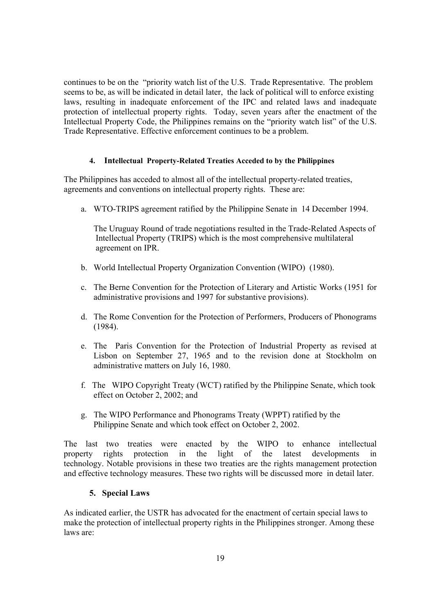continues to be on the "priority watch list of the U.S. Trade Representative. The problem seems to be, as will be indicated in detail later, the lack of political will to enforce existing laws, resulting in inadequate enforcement of the IPC and related laws and inadequate protection of intellectual property rights. Today, seven years after the enactment of the Intellectual Property Code, the Philippines remains on the "priority watch list" of the U.S. Trade Representative. Effective enforcement continues to be a problem.

#### **4. Intellectual Property-Related Treaties Acceded to by the Philippines**

The Philippines has acceded to almost all of the intellectual property-related treaties, agreements and conventions on intellectual property rights. These are:

a. WTO-TRIPS agreement ratified by the Philippine Senate in 14 December 1994.

 The Uruguay Round of trade negotiations resulted in the Trade-Related Aspects of Intellectual Property (TRIPS) which is the most comprehensive multilateral agreement on IPR.

- b. World Intellectual Property Organization Convention (WIPO) (1980).
- c. The Berne Convention for the Protection of Literary and Artistic Works (1951 for administrative provisions and 1997 for substantive provisions).
- d. The Rome Convention for the Protection of Performers, Producers of Phonograms (1984).
- e. The Paris Convention for the Protection of Industrial Property as revised at Lisbon on September 27, 1965 and to the revision done at Stockholm on administrative matters on July 16, 1980.
- f. The WIPO Copyright Treaty (WCT) ratified by the Philippine Senate, which took effect on October 2, 2002; and
- g. The WIPO Performance and Phonograms Treaty (WPPT) ratified by the Philippine Senate and which took effect on October 2, 2002.

The last two treaties were enacted by the WIPO to enhance intellectual property rights protection in the light of the latest developments in technology. Notable provisions in these two treaties are the rights management protection and effective technology measures. These two rights will be discussed more in detail later.

#### **5. Special Laws**

As indicated earlier, the USTR has advocated for the enactment of certain special laws to make the protection of intellectual property rights in the Philippines stronger. Among these laws are: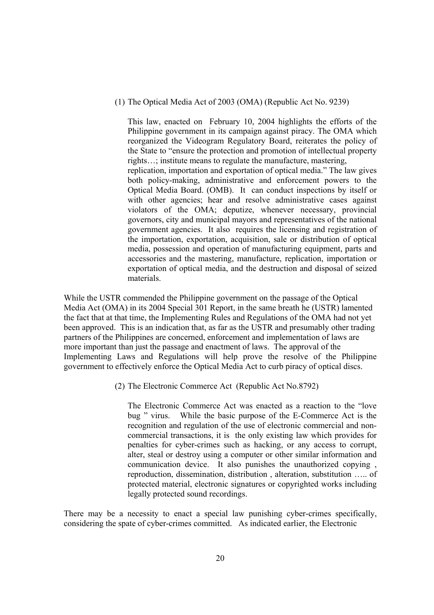(1) The Optical Media Act of 2003 (OMA) (Republic Act No. 9239)

This law, enacted on February 10, 2004 highlights the efforts of the Philippine government in its campaign against piracy. The OMA which reorganized the Videogram Regulatory Board, reiterates the policy of the State to "ensure the protection and promotion of intellectual property rights…; institute means to regulate the manufacture, mastering, replication, importation and exportation of optical media." The law gives both policy-making, administrative and enforcement powers to the Optical Media Board. (OMB). It can conduct inspections by itself or with other agencies; hear and resolve administrative cases against violators of the OMA; deputize, whenever necessary, provincial governors, city and municipal mayors and representatives of the national government agencies. It also requires the licensing and registration of the importation, exportation, acquisition, sale or distribution of optical media, possession and operation of manufacturing equipment, parts and accessories and the mastering, manufacture, replication, importation or exportation of optical media, and the destruction and disposal of seized materials.

While the USTR commended the Philippine government on the passage of the Optical Media Act (OMA) in its 2004 Special 301 Report, in the same breath he (USTR) lamented the fact that at that time, the Implementing Rules and Regulations of the OMA had not yet been approved. This is an indication that, as far as the USTR and presumably other trading partners of the Philippines are concerned, enforcement and implementation of laws are more important than just the passage and enactment of laws. The approval of the Implementing Laws and Regulations will help prove the resolve of the Philippine government to effectively enforce the Optical Media Act to curb piracy of optical discs.

(2) The Electronic Commerce Act (Republic Act No.8792)

The Electronic Commerce Act was enacted as a reaction to the "love bug " virus. While the basic purpose of the E-Commerce Act is the recognition and regulation of the use of electronic commercial and noncommercial transactions, it is the only existing law which provides for penalties for cyber-crimes such as hacking, or any access to corrupt, alter, steal or destroy using a computer or other similar information and communication device. It also punishes the unauthorized copying , reproduction, dissemination, distribution , alteration, substitution ….. of protected material, electronic signatures or copyrighted works including legally protected sound recordings.

There may be a necessity to enact a special law punishing cyber-crimes specifically, considering the spate of cyber-crimes committed. As indicated earlier, the Electronic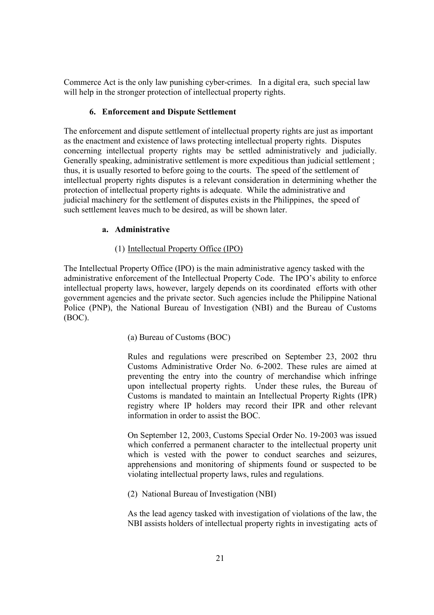Commerce Act is the only law punishing cyber-crimes. In a digital era, such special law will help in the stronger protection of intellectual property rights.

## **6. Enforcement and Dispute Settlement**

The enforcement and dispute settlement of intellectual property rights are just as important as the enactment and existence of laws protecting intellectual property rights. Disputes concerning intellectual property rights may be settled administratively and judicially. Generally speaking, administrative settlement is more expeditious than judicial settlement ; thus, it is usually resorted to before going to the courts. The speed of the settlement of intellectual property rights disputes is a relevant consideration in determining whether the protection of intellectual property rights is adequate. While the administrative and judicial machinery for the settlement of disputes exists in the Philippines, the speed of such settlement leaves much to be desired, as will be shown later.

## **a. Administrative**

#### (1) Intellectual Property Office (IPO)

The Intellectual Property Office (IPO) is the main administrative agency tasked with the administrative enforcement of the Intellectual Property Code. The IPO's ability to enforce intellectual property laws, however, largely depends on its coordinated efforts with other government agencies and the private sector. Such agencies include the Philippine National Police (PNP), the National Bureau of Investigation (NBI) and the Bureau of Customs (BOC).

## (a) Bureau of Customs (BOC)

Rules and regulations were prescribed on September 23, 2002 thru Customs Administrative Order No. 6-2002. These rules are aimed at preventing the entry into the country of merchandise which infringe upon intellectual property rights. Under these rules, the Bureau of Customs is mandated to maintain an Intellectual Property Rights (IPR) registry where IP holders may record their IPR and other relevant information in order to assist the BOC.

On September 12, 2003, Customs Special Order No. 19-2003 was issued which conferred a permanent character to the intellectual property unit which is vested with the power to conduct searches and seizures, apprehensions and monitoring of shipments found or suspected to be violating intellectual property laws, rules and regulations.

(2) National Bureau of Investigation (NBI)

As the lead agency tasked with investigation of violations of the law, the NBI assists holders of intellectual property rights in investigating acts of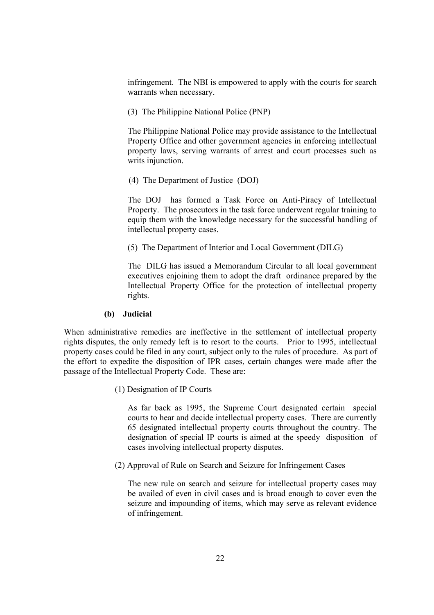infringement. The NBI is empowered to apply with the courts for search warrants when necessary.

(3) The Philippine National Police (PNP)

The Philippine National Police may provide assistance to the Intellectual Property Office and other government agencies in enforcing intellectual property laws, serving warrants of arrest and court processes such as writs injunction.

(4) The Department of Justice (DOJ)

The DOJ has formed a Task Force on Anti-Piracy of Intellectual Property. The prosecutors in the task force underwent regular training to equip them with the knowledge necessary for the successful handling of intellectual property cases.

(5) The Department of Interior and Local Government (DILG)

The DILG has issued a Memorandum Circular to all local government executives enjoining them to adopt the draft ordinance prepared by the Intellectual Property Office for the protection of intellectual property rights.

#### **(b) Judicial**

When administrative remedies are ineffective in the settlement of intellectual property rights disputes, the only remedy left is to resort to the courts. Prior to 1995, intellectual property cases could be filed in any court, subject only to the rules of procedure. As part of the effort to expedite the disposition of IPR cases, certain changes were made after the passage of the Intellectual Property Code. These are:

(1) Designation of IP Courts

As far back as 1995, the Supreme Court designated certain special courts to hear and decide intellectual property cases. There are currently 65 designated intellectual property courts throughout the country. The designation of special IP courts is aimed at the speedy disposition of cases involving intellectual property disputes.

(2) Approval of Rule on Search and Seizure for Infringement Cases

The new rule on search and seizure for intellectual property cases may be availed of even in civil cases and is broad enough to cover even the seizure and impounding of items, which may serve as relevant evidence of infringement.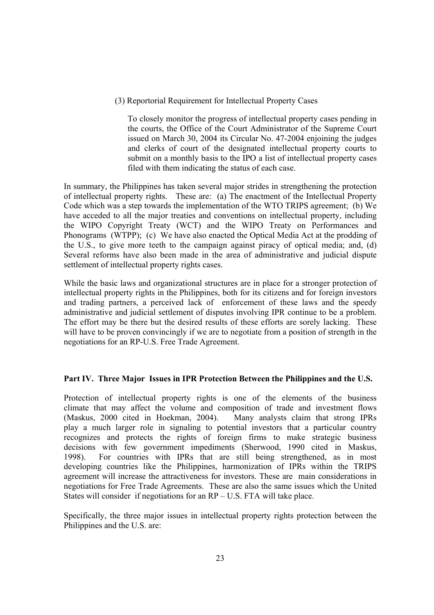(3) Reportorial Requirement for Intellectual Property Cases

To closely monitor the progress of intellectual property cases pending in the courts, the Office of the Court Administrator of the Supreme Court issued on March 30, 2004 its Circular No. 47-2004 enjoining the judges and clerks of court of the designated intellectual property courts to submit on a monthly basis to the IPO a list of intellectual property cases filed with them indicating the status of each case.

In summary, the Philippines has taken several major strides in strengthening the protection of intellectual property rights. These are: (a) The enactment of the Intellectual Property Code which was a step towards the implementation of the WTO TRIPS agreement; (b) We have acceded to all the major treaties and conventions on intellectual property, including the WIPO Copyright Treaty (WCT) and the WIPO Treaty on Performances and Phonograms (WTPP); (c) We have also enacted the Optical Media Act at the prodding of the U.S., to give more teeth to the campaign against piracy of optical media; and, (d) Several reforms have also been made in the area of administrative and judicial dispute settlement of intellectual property rights cases.

While the basic laws and organizational structures are in place for a stronger protection of intellectual property rights in the Philippines, both for its citizens and for foreign investors and trading partners, a perceived lack of enforcement of these laws and the speedy administrative and judicial settlement of disputes involving IPR continue to be a problem. The effort may be there but the desired results of these efforts are sorely lacking. These will have to be proven convincingly if we are to negotiate from a position of strength in the negotiations for an RP-U.S. Free Trade Agreement.

## **Part IV. Three Major Issues in IPR Protection Between the Philippines and the U.S.**

Protection of intellectual property rights is one of the elements of the business climate that may affect the volume and composition of trade and investment flows (Maskus, 2000 cited in Hoekman, 2004). Many analysts claim that strong IPRs play a much larger role in signaling to potential investors that a particular country recognizes and protects the rights of foreign firms to make strategic business decisions with few government impediments (Sherwood, 1990 cited in Maskus, 1998). For countries with IPRs that are still being strengthened, as in most developing countries like the Philippines, harmonization of IPRs within the TRIPS agreement will increase the attractiveness for investors. These are main considerations in negotiations for Free Trade Agreements. These are also the same issues which the United States will consider if negotiations for an RP – U.S. FTA will take place.

Specifically, the three major issues in intellectual property rights protection between the Philippines and the U.S. are: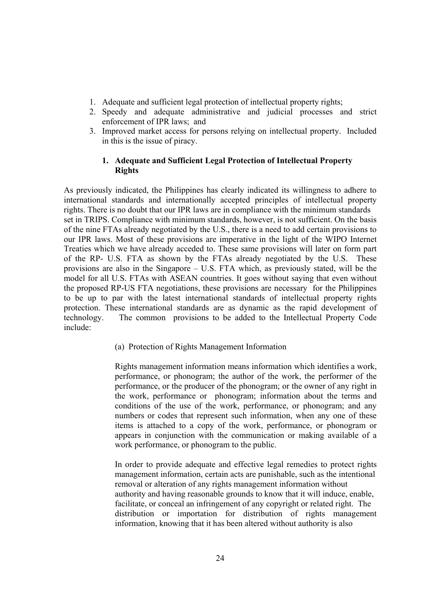- 1. Adequate and sufficient legal protection of intellectual property rights;
- 2. Speedy and adequate administrative and judicial processes and strict enforcement of IPR laws; and
- 3. Improved market access for persons relying on intellectual property. Included in this is the issue of piracy.

## **1. Adequate and Sufficient Legal Protection of Intellectual Property Rights**

As previously indicated, the Philippines has clearly indicated its willingness to adhere to international standards and internationally accepted principles of intellectual property rights. There is no doubt that our IPR laws are in compliance with the minimum standards set in TRIPS. Compliance with minimum standards, however, is not sufficient. On the basis of the nine FTAs already negotiated by the U.S., there is a need to add certain provisions to our IPR laws. Most of these provisions are imperative in the light of the WIPO Internet Treaties which we have already acceded to. These same provisions will later on form part of the RP- U.S. FTA as shown by the FTAs already negotiated by the U.S. These provisions are also in the Singapore – U.S. FTA which, as previously stated, will be the model for all U.S. FTAs with ASEAN countries. It goes without saying that even without the proposed RP-US FTA negotiations, these provisions are necessary for the Philippines to be up to par with the latest international standards of intellectual property rights protection. These international standards are as dynamic as the rapid development of technology. The common provisions to be added to the Intellectual Property Code include:

(a) Protection of Rights Management Information

Rights management information means information which identifies a work, performance, or phonogram; the author of the work, the performer of the performance, or the producer of the phonogram; or the owner of any right in the work, performance or phonogram; information about the terms and conditions of the use of the work, performance, or phonogram; and any numbers or codes that represent such information, when any one of these items is attached to a copy of the work, performance, or phonogram or appears in conjunction with the communication or making available of a work performance, or phonogram to the public.

In order to provide adequate and effective legal remedies to protect rights management information, certain acts are punishable, such as the intentional removal or alteration of any rights management information without authority and having reasonable grounds to know that it will induce, enable, facilitate, or conceal an infringement of any copyright or related right. The distribution or importation for distribution of rights management information, knowing that it has been altered without authority is also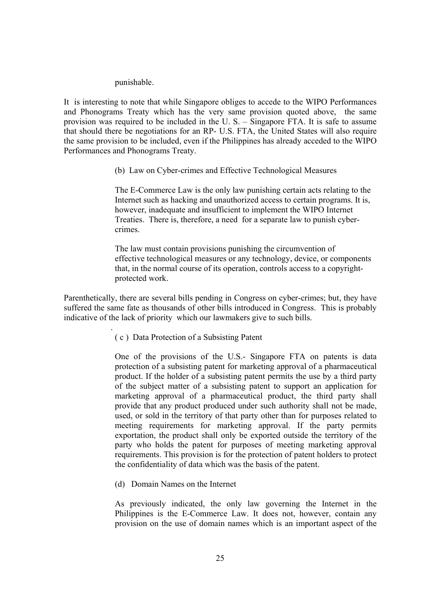#### punishable.

.

It is interesting to note that while Singapore obliges to accede to the WIPO Performances and Phonograms Treaty which has the very same provision quoted above, the same provision was required to be included in the U. S. – Singapore FTA. It is safe to assume that should there be negotiations for an RP- U.S. FTA, the United States will also require the same provision to be included, even if the Philippines has already acceded to the WIPO Performances and Phonograms Treaty.

(b) Law on Cyber-crimes and Effective Technological Measures

 The E-Commerce Law is the only law punishing certain acts relating to the Internet such as hacking and unauthorized access to certain programs. It is, however, inadequate and insufficient to implement the WIPO Internet Treaties. There is, therefore, a need for a separate law to punish cyber crimes.

 The law must contain provisions punishing the circumvention of effective technological measures or any technology, device, or components that, in the normal course of its operation, controls access to a copyright protected work.

Parenthetically, there are several bills pending in Congress on cyber-crimes; but, they have suffered the same fate as thousands of other bills introduced in Congress. This is probably indicative of the lack of priority which our lawmakers give to such bills.

( c ) Data Protection of a Subsisting Patent

One of the provisions of the U.S.- Singapore FTA on patents is data protection of a subsisting patent for marketing approval of a pharmaceutical product. If the holder of a subsisting patent permits the use by a third party of the subject matter of a subsisting patent to support an application for marketing approval of a pharmaceutical product, the third party shall provide that any product produced under such authority shall not be made, used, or sold in the territory of that party other than for purposes related to meeting requirements for marketing approval. If the party permits exportation, the product shall only be exported outside the territory of the party who holds the patent for purposes of meeting marketing approval requirements. This provision is for the protection of patent holders to protect the confidentiality of data which was the basis of the patent.

(d) Domain Names on the Internet

As previously indicated, the only law governing the Internet in the Philippines is the E-Commerce Law. It does not, however, contain any provision on the use of domain names which is an important aspect of the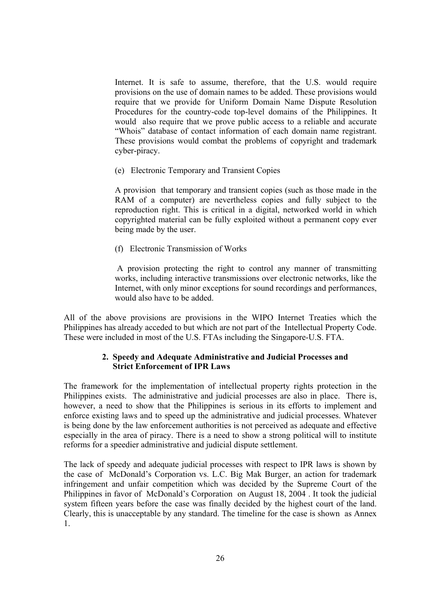Internet. It is safe to assume, therefore, that the U.S. would require provisions on the use of domain names to be added. These provisions would require that we provide for Uniform Domain Name Dispute Resolution Procedures for the country-code top-level domains of the Philippines. It would also require that we prove public access to a reliable and accurate "Whois" database of contact information of each domain name registrant. These provisions would combat the problems of copyright and trademark cyber-piracy.

(e) Electronic Temporary and Transient Copies

A provision that temporary and transient copies (such as those made in the RAM of a computer) are nevertheless copies and fully subject to the reproduction right. This is critical in a digital, networked world in which copyrighted material can be fully exploited without a permanent copy ever being made by the user.

(f) Electronic Transmission of Works

 A provision protecting the right to control any manner of transmitting works, including interactive transmissions over electronic networks, like the Internet, with only minor exceptions for sound recordings and performances, would also have to be added.

All of the above provisions are provisions in the WIPO Internet Treaties which the Philippines has already acceded to but which are not part of the Intellectual Property Code. These were included in most of the U.S. FTAs including the Singapore-U.S. FTA.

## **2. Speedy and Adequate Administrative and Judicial Processes and Strict Enforcement of IPR Laws**

The framework for the implementation of intellectual property rights protection in the Philippines exists. The administrative and judicial processes are also in place. There is, however, a need to show that the Philippines is serious in its efforts to implement and enforce existing laws and to speed up the administrative and judicial processes. Whatever is being done by the law enforcement authorities is not perceived as adequate and effective especially in the area of piracy. There is a need to show a strong political will to institute reforms for a speedier administrative and judicial dispute settlement.

The lack of speedy and adequate judicial processes with respect to IPR laws is shown by the case of McDonald's Corporation vs. L.C. Big Mak Burger, an action for trademark infringement and unfair competition which was decided by the Supreme Court of the Philippines in favor of McDonald's Corporation on August 18, 2004 . It took the judicial system fifteen years before the case was finally decided by the highest court of the land. Clearly, this is unacceptable by any standard. The timeline for the case is shown as Annex 1.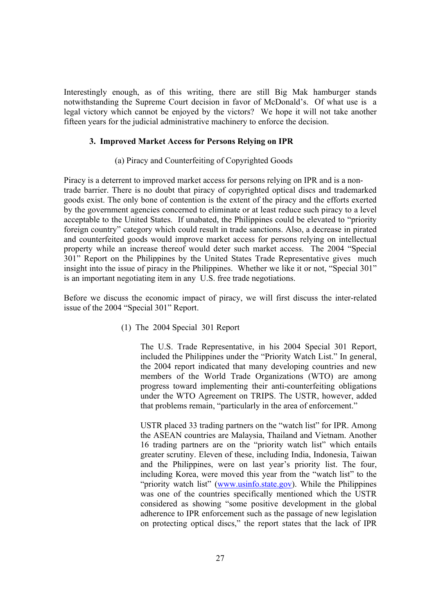Interestingly enough, as of this writing, there are still Big Mak hamburger stands notwithstanding the Supreme Court decision in favor of McDonald's. Of what use is a legal victory which cannot be enjoyed by the victors? We hope it will not take another fifteen years for the judicial administrative machinery to enforce the decision.

#### **3. Improved Market Access for Persons Relying on IPR**

#### (a) Piracy and Counterfeiting of Copyrighted Goods

Piracy is a deterrent to improved market access for persons relying on IPR and is a nontrade barrier. There is no doubt that piracy of copyrighted optical discs and trademarked goods exist. The only bone of contention is the extent of the piracy and the efforts exerted by the government agencies concerned to eliminate or at least reduce such piracy to a level acceptable to the United States. If unabated, the Philippines could be elevated to "priority foreign country" category which could result in trade sanctions. Also, a decrease in pirated and counterfeited goods would improve market access for persons relying on intellectual property while an increase thereof would deter such market access. The 2004 "Special 301" Report on the Philippines by the United States Trade Representative gives much insight into the issue of piracy in the Philippines. Whether we like it or not, "Special 301" is an important negotiating item in any U.S. free trade negotiations.

Before we discuss the economic impact of piracy, we will first discuss the inter-related issue of the 2004 "Special 301" Report.

(1) The 2004 Special 301 Report

The U.S. Trade Representative, in his 2004 Special 301 Report, included the Philippines under the "Priority Watch List." In general, the 2004 report indicated that many developing countries and new members of the World Trade Organizations (WTO) are among progress toward implementing their anti-counterfeiting obligations under the WTO Agreement on TRIPS. The USTR, however, added that problems remain, "particularly in the area of enforcement."

USTR placed 33 trading partners on the "watch list" for IPR. Among the ASEAN countries are Malaysia, Thailand and Vietnam. Another 16 trading partners are on the "priority watch list" which entails greater scrutiny. Eleven of these, including India, Indonesia, Taiwan and the Philippines, were on last year's priority list. The four, including Korea, were moved this year from the "watch list" to the "priority watch list" (www.usinfo.state.gov). While the Philippines was one of the countries specifically mentioned which the USTR considered as showing "some positive development in the global adherence to IPR enforcement such as the passage of new legislation on protecting optical discs," the report states that the lack of IPR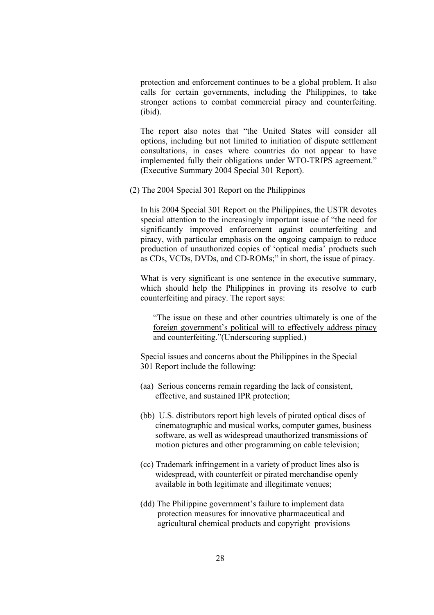protection and enforcement continues to be a global problem. It also calls for certain governments, including the Philippines, to take stronger actions to combat commercial piracy and counterfeiting. (ibid).

The report also notes that "the United States will consider all options, including but not limited to initiation of dispute settlement consultations, in cases where countries do not appear to have implemented fully their obligations under WTO-TRIPS agreement." (Executive Summary 2004 Special 301 Report).

(2) The 2004 Special 301 Report on the Philippines

In his 2004 Special 301 Report on the Philippines, the USTR devotes special attention to the increasingly important issue of "the need for significantly improved enforcement against counterfeiting and piracy, with particular emphasis on the ongoing campaign to reduce production of unauthorized copies of 'optical media' products such as CDs, VCDs, DVDs, and CD-ROMs;" in short, the issue of piracy.

What is very significant is one sentence in the executive summary, which should help the Philippines in proving its resolve to curb counterfeiting and piracy. The report says:

"The issue on these and other countries ultimately is one of the foreign government's political will to effectively address piracy and counterfeiting."(Underscoring supplied.)

 Special issues and concerns about the Philippines in the Special 301 Report include the following:

- (aa) Serious concerns remain regarding the lack of consistent, effective, and sustained IPR protection;
- (bb) U.S. distributors report high levels of pirated optical discs of cinematographic and musical works, computer games, business software, as well as widespread unauthorized transmissions of motion pictures and other programming on cable television;
- (cc) Trademark infringement in a variety of product lines also is widespread, with counterfeit or pirated merchandise openly available in both legitimate and illegitimate venues;
- (dd) The Philippine government's failure to implement data protection measures for innovative pharmaceutical and agricultural chemical products and copyright provisions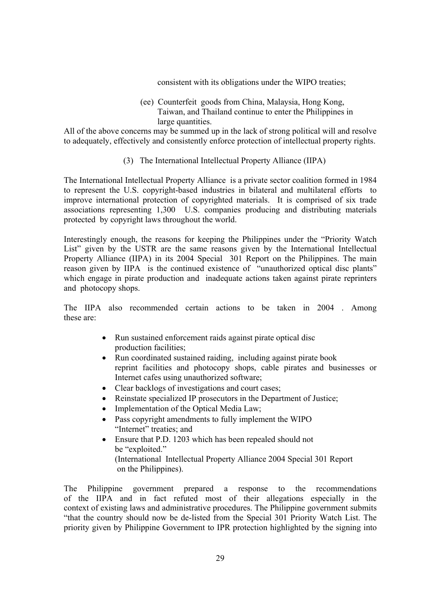consistent with its obligations under the WIPO treaties;

 (ee) Counterfeit goods from China, Malaysia, Hong Kong, Taiwan, and Thailand continue to enter the Philippines in large quantities.

All of the above concerns may be summed up in the lack of strong political will and resolve to adequately, effectively and consistently enforce protection of intellectual property rights.

(3) The International Intellectual Property Alliance (IIPA)

The International Intellectual Property Alliance is a private sector coalition formed in 1984 to represent the U.S. copyright-based industries in bilateral and multilateral efforts to improve international protection of copyrighted materials. It is comprised of six trade associations representing 1,300 U.S. companies producing and distributing materials protected by copyright laws throughout the world.

Interestingly enough, the reasons for keeping the Philippines under the "Priority Watch List" given by the USTR are the same reasons given by the International Intellectual Property Alliance (IIPA) in its 2004 Special 301 Report on the Philippines. The main reason given by IIPA is the continued existence of "unauthorized optical disc plants" which engage in pirate production and inadequate actions taken against pirate reprinters and photocopy shops.

The IIPA also recommended certain actions to be taken in 2004 . Among these are:

- Run sustained enforcement raids against pirate optical disc production facilities;
- Run coordinated sustained raiding, including against pirate book reprint facilities and photocopy shops, cable pirates and businesses or Internet cafes using unauthorized software;
- Clear backlogs of investigations and court cases;
- Reinstate specialized IP prosecutors in the Department of Justice;
- Implementation of the Optical Media Law;
- Pass copyright amendments to fully implement the WIPO "Internet" treaties; and
- Ensure that P.D. 1203 which has been repealed should not be "exploited." (International Intellectual Property Alliance 2004 Special 301 Report on the Philippines).

The Philippine government prepared a response to the recommendations of the IIPA and in fact refuted most of their allegations especially in the context of existing laws and administrative procedures. The Philippine government submits "that the country should now be de-listed from the Special 301 Priority Watch List. The priority given by Philippine Government to IPR protection highlighted by the signing into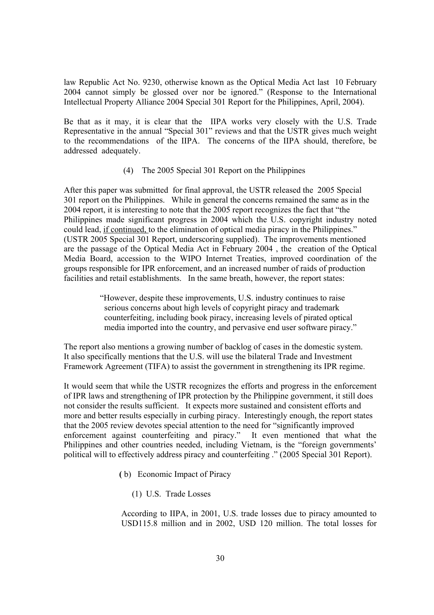law Republic Act No. 9230, otherwise known as the Optical Media Act last 10 February 2004 cannot simply be glossed over nor be ignored." (Response to the International Intellectual Property Alliance 2004 Special 301 Report for the Philippines, April, 2004).

Be that as it may, it is clear that the IIPA works very closely with the U.S. Trade Representative in the annual "Special 301" reviews and that the USTR gives much weight to the recommendations of the IIPA. The concerns of the IIPA should, therefore, be addressed adequately.

#### (4) The 2005 Special 301 Report on the Philippines

After this paper was submitted for final approval, the USTR released the 2005 Special 301 report on the Philippines. While in general the concerns remained the same as in the 2004 report, it is interesting to note that the 2005 report recognizes the fact that "the Philippines made significant progress in 2004 which the U.S. copyright industry noted could lead, if continued, to the elimination of optical media piracy in the Philippines." (USTR 2005 Special 301 Report, underscoring supplied). The improvements mentioned are the passage of the Optical Media Act in February 2004 , the creation of the Optical Media Board, accession to the WIPO Internet Treaties, improved coordination of the groups responsible for IPR enforcement, and an increased number of raids of production facilities and retail establishments. In the same breath, however, the report states:

> "However, despite these improvements, U.S. industry continues to raise serious concerns about high levels of copyright piracy and trademark counterfeiting, including book piracy, increasing levels of pirated optical media imported into the country, and pervasive end user software piracy."

The report also mentions a growing number of backlog of cases in the domestic system. It also specifically mentions that the U.S. will use the bilateral Trade and Investment Framework Agreement (TIFA) to assist the government in strengthening its IPR regime.

It would seem that while the USTR recognizes the efforts and progress in the enforcement of IPR laws and strengthening of IPR protection by the Philippine government, it still does not consider the results sufficient. It expects more sustained and consistent efforts and more and better results especially in curbing piracy. Interestingly enough, the report states that the 2005 review devotes special attention to the need for "significantly improved enforcement against counterfeiting and piracy." It even mentioned that what the Philippines and other countries needed, including Vietnam, is the "foreign governments' political will to effectively address piracy and counterfeiting ." (2005 Special 301 Report).

- **(** b) Economic Impact of Piracy
	- (1) U.S. Trade Losses

According to IIPA, in 2001, U.S. trade losses due to piracy amounted to USD115.8 million and in 2002, USD 120 million. The total losses for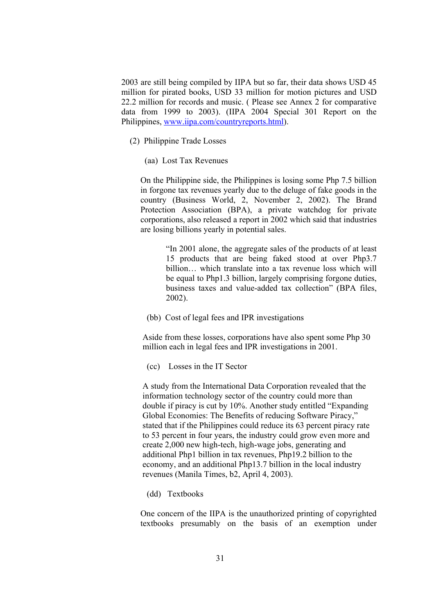2003 are still being compiled by IIPA but so far, their data shows USD 45 million for pirated books, USD 33 million for motion pictures and USD 22.2 million for records and music. ( Please see Annex 2 for comparative data from 1999 to 2003). (IIPA 2004 Special 301 Report on the Philippines, www.iipa.com/countryreports.html).

- (2) Philippine Trade Losses
	- (aa) Lost Tax Revenues

On the Philippine side, the Philippines is losing some Php 7.5 billion in forgone tax revenues yearly due to the deluge of fake goods in the country (Business World, 2, November 2, 2002). The Brand Protection Association (BPA), a private watchdog for private corporations, also released a report in 2002 which said that industries are losing billions yearly in potential sales.

> "In 2001 alone, the aggregate sales of the products of at least 15 products that are being faked stood at over Php3.7 billion… which translate into a tax revenue loss which will be equal to Php1.3 billion, largely comprising forgone duties, business taxes and value-added tax collection" (BPA files, 2002).

(bb) Cost of legal fees and IPR investigations

 Aside from these losses, corporations have also spent some Php 30 million each in legal fees and IPR investigations in 2001.

(cc) Losses in the IT Sector

 A study from the International Data Corporation revealed that the information technology sector of the country could more than double if piracy is cut by 10%. Another study entitled "Expanding Global Economies: The Benefits of reducing Software Piracy," stated that if the Philippines could reduce its 63 percent piracy rate to 53 percent in four years, the industry could grow even more and create 2,000 new high-tech, high-wage jobs, generating and additional Php1 billion in tax revenues, Php19.2 billion to the economy, and an additional Php13.7 billion in the local industry revenues (Manila Times, b2, April 4, 2003).

(dd) Textbooks

One concern of the IIPA is the unauthorized printing of copyrighted textbooks presumably on the basis of an exemption under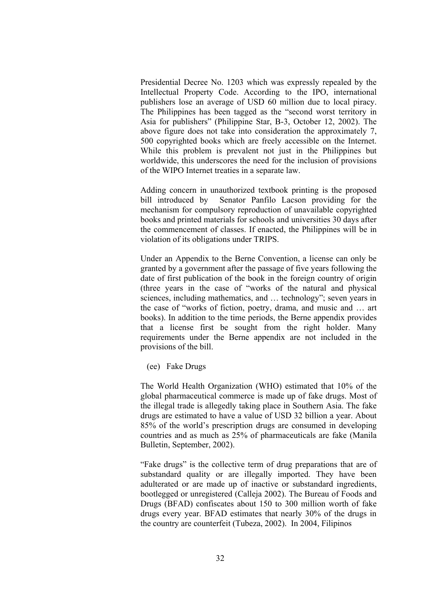Presidential Decree No. 1203 which was expressly repealed by the Intellectual Property Code. According to the IPO, international publishers lose an average of USD 60 million due to local piracy. The Philippines has been tagged as the "second worst territory in Asia for publishers" (Philippine Star, B-3, October 12, 2002). The above figure does not take into consideration the approximately 7, 500 copyrighted books which are freely accessible on the Internet. While this problem is prevalent not just in the Philippines but worldwide, this underscores the need for the inclusion of provisions of the WIPO Internet treaties in a separate law.

Adding concern in unauthorized textbook printing is the proposed bill introduced by Senator Panfilo Lacson providing for the mechanism for compulsory reproduction of unavailable copyrighted books and printed materials for schools and universities 30 days after the commencement of classes. If enacted, the Philippines will be in violation of its obligations under TRIPS.

Under an Appendix to the Berne Convention, a license can only be granted by a government after the passage of five years following the date of first publication of the book in the foreign country of origin (three years in the case of "works of the natural and physical sciences, including mathematics, and … technology"; seven years in the case of "works of fiction, poetry, drama, and music and … art books). In addition to the time periods, the Berne appendix provides that a license first be sought from the right holder. Many requirements under the Berne appendix are not included in the provisions of the bill.

(ee) Fake Drugs

The World Health Organization (WHO) estimated that 10% of the global pharmaceutical commerce is made up of fake drugs. Most of the illegal trade is allegedly taking place in Southern Asia. The fake drugs are estimated to have a value of USD 32 billion a year. About 85% of the world's prescription drugs are consumed in developing countries and as much as 25% of pharmaceuticals are fake (Manila Bulletin, September, 2002).

"Fake drugs" is the collective term of drug preparations that are of substandard quality or are illegally imported. They have been adulterated or are made up of inactive or substandard ingredients, bootlegged or unregistered (Calleja 2002). The Bureau of Foods and Drugs (BFAD) confiscates about 150 to 300 million worth of fake drugs every year. BFAD estimates that nearly 30% of the drugs in the country are counterfeit (Tubeza, 2002). In 2004, Filipinos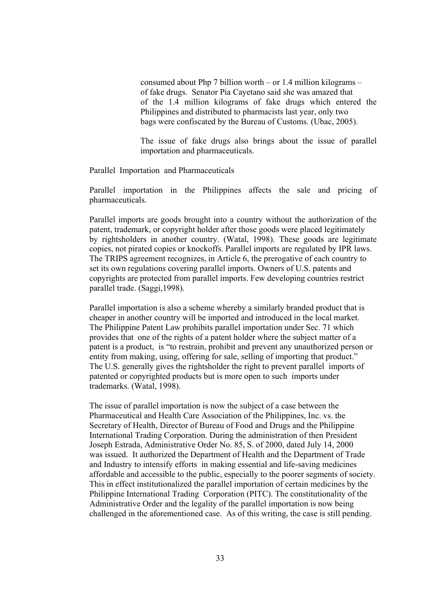consumed about Php 7 billion worth – or 1.4 million kilograms – of fake drugs. Senator Pia Cayetano said she was amazed that of the 1.4 million kilograms of fake drugs which entered the Philippines and distributed to pharmacists last year, only two bags were confiscated by the Bureau of Customs. (Ubac, 2005).

The issue of fake drugs also brings about the issue of parallel importation and pharmaceuticals.

Parallel Importation and Pharmaceuticals

Parallel importation in the Philippines affects the sale and pricing of pharmaceuticals.

Parallel imports are goods brought into a country without the authorization of the patent, trademark, or copyright holder after those goods were placed legitimately by rightsholders in another country. (Watal, 1998). These goods are legitimate copies, not pirated copies or knockoffs. Parallel imports are regulated by IPR laws. The TRIPS agreement recognizes, in Article 6, the prerogative of each country to set its own regulations covering parallel imports. Owners of U.S. patents and copyrights are protected from parallel imports. Few developing countries restrict parallel trade. (Saggi,1998).

 Parallel importation is also a scheme whereby a similarly branded product that is cheaper in another country will be imported and introduced in the local market. The Philippine Patent Law prohibits parallel importation under Sec. 71 which provides that one of the rights of a patent holder where the subject matter of a patent is a product, is "to restrain, prohibit and prevent any unauthorized person or entity from making, using, offering for sale, selling of importing that product." The U.S. generally gives the rightsholder the right to prevent parallel imports of patented or copyrighted products but is more open to such imports under trademarks. (Watal, 1998).

 The issue of parallel importation is now the subject of a case between the Pharmaceutical and Health Care Association of the Philippines, Inc. vs. the Secretary of Health, Director of Bureau of Food and Drugs and the Philippine International Trading Corporation. During the administration of then President Joseph Estrada, Administrative Order No. 85, S. of 2000, dated July 14, 2000 was issued. It authorized the Department of Health and the Department of Trade and Industry to intensify efforts in making essential and life-saving medicines affordable and accessible to the public, especially to the poorer segments of society. This in effect institutionalized the parallel importation of certain medicines by the Philippine International Trading Corporation (PITC). The constitutionality of the Administrative Order and the legality of the parallel importation is now being challenged in the aforementioned case. As of this writing, the case is still pending.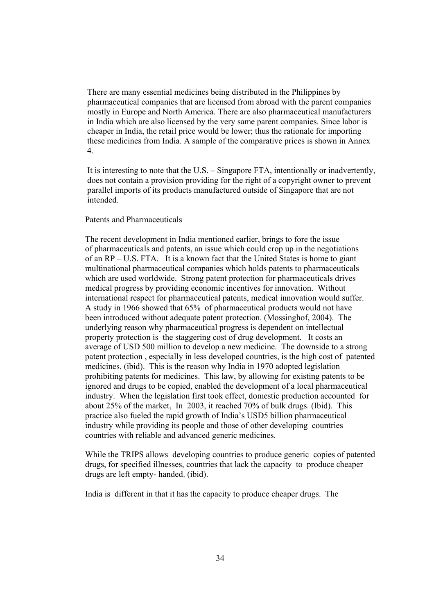There are many essential medicines being distributed in the Philippines by pharmaceutical companies that are licensed from abroad with the parent companies mostly in Europe and North America. There are also pharmaceutical manufacturers in India which are also licensed by the very same parent companies. Since labor is cheaper in India, the retail price would be lower; thus the rationale for importing these medicines from India. A sample of the comparative prices is shown in Annex 4.

 It is interesting to note that the U.S. – Singapore FTA, intentionally or inadvertently, does not contain a provision providing for the right of a copyright owner to prevent parallel imports of its products manufactured outside of Singapore that are not intended.

#### Patents and Pharmaceuticals

 The recent development in India mentioned earlier, brings to fore the issue of pharmaceuticals and patents, an issue which could crop up in the negotiations of an RP – U.S. FTA. It is a known fact that the United States is home to giant multinational pharmaceutical companies which holds patents to pharmaceuticals which are used worldwide. Strong patent protection for pharmaceuticals drives medical progress by providing economic incentives for innovation. Without international respect for pharmaceutical patents, medical innovation would suffer. A study in 1966 showed that 65% of pharmaceutical products would not have been introduced without adequate patent protection. (Mossinghof, 2004). The underlying reason why pharmaceutical progress is dependent on intellectual property protection is the staggering cost of drug development. It costs an average of USD 500 million to develop a new medicine. The downside to a strong patent protection , especially in less developed countries, is the high cost of patented medicines. (ibid). This is the reason why India in 1970 adopted legislation prohibiting patents for medicines. This law, by allowing for existing patents to be ignored and drugs to be copied, enabled the development of a local pharmaceutical industry. When the legislation first took effect, domestic production accounted for about 25% of the market, In 2003, it reached 70% of bulk drugs. (Ibid). This practice also fueled the rapid growth of India's USD5 billion pharmaceutical industry while providing its people and those of other developing countries countries with reliable and advanced generic medicines.

 While the TRIPS allows developing countries to produce generic copies of patented drugs, for specified illnesses, countries that lack the capacity to produce cheaper drugs are left empty- handed. (ibid).

India is different in that it has the capacity to produce cheaper drugs. The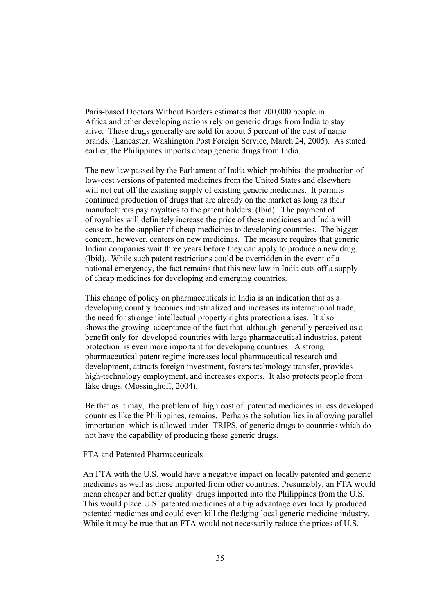Paris-based Doctors Without Borders estimates that 700,000 people in Africa and other developing nations rely on generic drugs from India to stay alive. These drugs generally are sold for about 5 percent of the cost of name brands. (Lancaster, Washington Post Foreign Service, March 24, 2005). As stated earlier, the Philippines imports cheap generic drugs from India.

 The new law passed by the Parliament of India which prohibits the production of low-cost versions of patented medicines from the United States and elsewhere will not cut off the existing supply of existing generic medicines. It permits continued production of drugs that are already on the market as long as their manufacturers pay royalties to the patent holders. (Ibid). The payment of of royalties will definitely increase the price of these medicines and India will cease to be the supplier of cheap medicines to developing countries. The bigger concern, however, centers on new medicines. The measure requires that generic Indian companies wait three years before they can apply to produce a new drug. (Ibid). While such patent restrictions could be overridden in the event of a national emergency, the fact remains that this new law in India cuts off a supply of cheap medicines for developing and emerging countries.

 This change of policy on pharmaceuticals in India is an indication that as a developing country becomes industrialized and increases its international trade, the need for stronger intellectual property rights protection arises. It also shows the growing acceptance of the fact that although generally perceived as a benefit only for developed countries with large pharmaceutical industries, patent protection is even more important for developing countries. A strong pharmaceutical patent regime increases local pharmaceutical research and development, attracts foreign investment, fosters technology transfer, provides high-technology employment, and increases exports. It also protects people from fake drugs. (Mossinghoff, 2004).

 Be that as it may, the problem of high cost of patented medicines in less developed countries like the Philippines, remains. Perhaps the solution lies in allowing parallel importation which is allowed under TRIPS, of generic drugs to countries which do not have the capability of producing these generic drugs.

#### FTA and Patented Pharmaceuticals

 An FTA with the U.S. would have a negative impact on locally patented and generic medicines as well as those imported from other countries. Presumably, an FTA would mean cheaper and better quality drugs imported into the Philippines from the U.S. This would place U.S. patented medicines at a big advantage over locally produced patented medicines and could even kill the fledging local generic medicine industry. While it may be true that an FTA would not necessarily reduce the prices of U.S.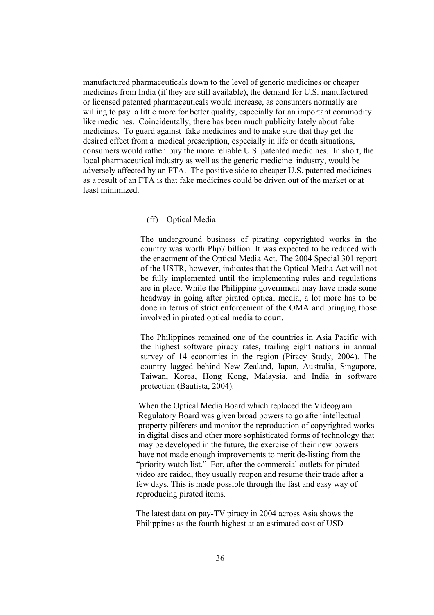manufactured pharmaceuticals down to the level of generic medicines or cheaper medicines from India (if they are still available), the demand for U.S. manufactured or licensed patented pharmaceuticals would increase, as consumers normally are willing to pay a little more for better quality, especially for an important commodity like medicines. Coincidentally, there has been much publicity lately about fake medicines. To guard against fake medicines and to make sure that they get the desired effect from a medical prescription, especially in life or death situations, consumers would rather buy the more reliable U.S. patented medicines. In short, the local pharmaceutical industry as well as the generic medicine industry, would be adversely affected by an FTA. The positive side to cheaper U.S. patented medicines as a result of an FTA is that fake medicines could be driven out of the market or at least minimized.

#### (ff) Optical Media

The underground business of pirating copyrighted works in the country was worth Php7 billion. It was expected to be reduced with the enactment of the Optical Media Act. The 2004 Special 301 report of the USTR, however, indicates that the Optical Media Act will not be fully implemented until the implementing rules and regulations are in place. While the Philippine government may have made some headway in going after pirated optical media, a lot more has to be done in terms of strict enforcement of the OMA and bringing those involved in pirated optical media to court.

The Philippines remained one of the countries in Asia Pacific with the highest software piracy rates, trailing eight nations in annual survey of 14 economies in the region (Piracy Study, 2004). The country lagged behind New Zealand, Japan, Australia, Singapore, Taiwan, Korea, Hong Kong, Malaysia, and India in software protection (Bautista, 2004).

 When the Optical Media Board which replaced the Videogram Regulatory Board was given broad powers to go after intellectual property pilferers and monitor the reproduction of copyrighted works in digital discs and other more sophisticated forms of technology that may be developed in the future, the exercise of their new powers have not made enough improvements to merit de-listing from the "priority watch list." For, after the commercial outlets for pirated video are raided, they usually reopen and resume their trade after a few days. This is made possible through the fast and easy way of reproducing pirated items.

 The latest data on pay-TV piracy in 2004 across Asia shows the Philippines as the fourth highest at an estimated cost of USD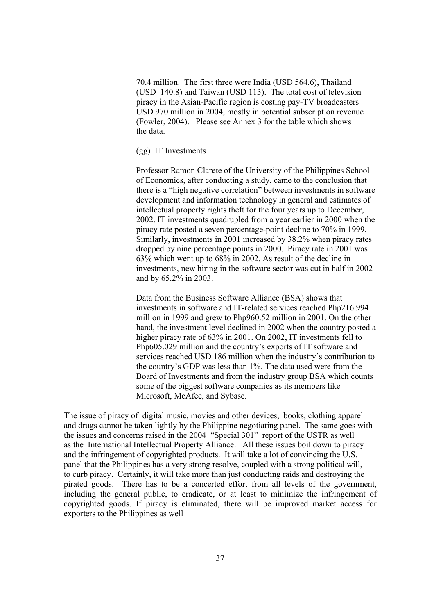70.4 million. The first three were India (USD 564.6), Thailand (USD 140.8) and Taiwan (USD 113). The total cost of television piracy in the Asian-Pacific region is costing pay-TV broadcasters USD 970 million in 2004, mostly in potential subscription revenue (Fowler, 2004). Please see Annex 3 for the table which shows the data.

(gg) IT Investments

 Professor Ramon Clarete of the University of the Philippines School of Economics, after conducting a study, came to the conclusion that there is a "high negative correlation" between investments in software development and information technology in general and estimates of intellectual property rights theft for the four years up to December, 2002. IT investments quadrupled from a year earlier in 2000 when the piracy rate posted a seven percentage-point decline to 70% in 1999. Similarly, investments in 2001 increased by 38.2% when piracy rates dropped by nine percentage points in 2000. Piracy rate in 2001 was 63% which went up to 68% in 2002. As result of the decline in investments, new hiring in the software sector was cut in half in 2002 and by 65.2% in 2003.

 Data from the Business Software Alliance (BSA) shows that investments in software and IT-related services reached Php216.994 million in 1999 and grew to Php960.52 million in 2001. On the other hand, the investment level declined in 2002 when the country posted a higher piracy rate of 63% in 2001. On 2002, IT investments fell to Php605.029 million and the country's exports of IT software and services reached USD 186 million when the industry's contribution to the country's GDP was less than 1%. The data used were from the Board of Investments and from the industry group BSA which counts some of the biggest software companies as its members like Microsoft, McAfee, and Sybase.

The issue of piracy of digital music, movies and other devices, books, clothing apparel and drugs cannot be taken lightly by the Philippine negotiating panel. The same goes with the issues and concerns raised in the 2004 "Special 301" report of the USTR as well as the International Intellectual Property Alliance. All these issues boil down to piracy and the infringement of copyrighted products. It will take a lot of convincing the U.S. panel that the Philippines has a very strong resolve, coupled with a strong political will, to curb piracy. Certainly, it will take more than just conducting raids and destroying the pirated goods. There has to be a concerted effort from all levels of the government, including the general public, to eradicate, or at least to minimize the infringement of copyrighted goods. If piracy is eliminated, there will be improved market access for exporters to the Philippines as well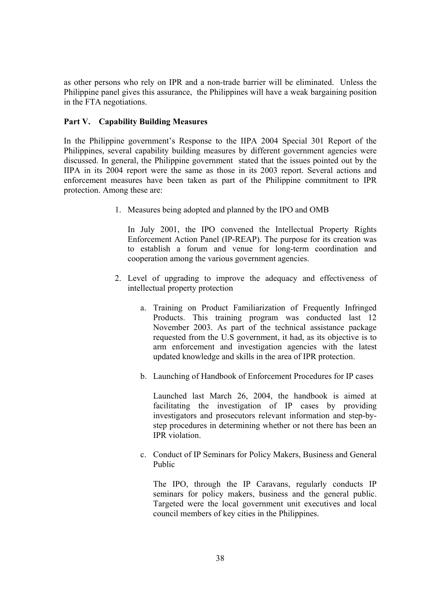as other persons who rely on IPR and a non-trade barrier will be eliminated. Unless the Philippine panel gives this assurance, the Philippines will have a weak bargaining position in the FTA negotiations.

### **Part V. Capability Building Measures**

In the Philippine government's Response to the IIPA 2004 Special 301 Report of the Philippines, several capability building measures by different government agencies were discussed. In general, the Philippine government stated that the issues pointed out by the IIPA in its 2004 report were the same as those in its 2003 report. Several actions and enforcement measures have been taken as part of the Philippine commitment to IPR protection. Among these are:

1. Measures being adopted and planned by the IPO and OMB

In July 2001, the IPO convened the Intellectual Property Rights Enforcement Action Panel (IP-REAP). The purpose for its creation was to establish a forum and venue for long-term coordination and cooperation among the various government agencies.

- 2. Level of upgrading to improve the adequacy and effectiveness of intellectual property protection
	- a. Training on Product Familiarization of Frequently Infringed Products. This training program was conducted last 12 November 2003. As part of the technical assistance package requested from the U.S government, it had, as its objective is to arm enforcement and investigation agencies with the latest updated knowledge and skills in the area of IPR protection.
	- b. Launching of Handbook of Enforcement Procedures for IP cases

Launched last March 26, 2004, the handbook is aimed at facilitating the investigation of IP cases by providing investigators and prosecutors relevant information and step-bystep procedures in determining whether or not there has been an IPR violation.

c. Conduct of IP Seminars for Policy Makers, Business and General Public

The IPO, through the IP Caravans, regularly conducts IP seminars for policy makers, business and the general public. Targeted were the local government unit executives and local council members of key cities in the Philippines.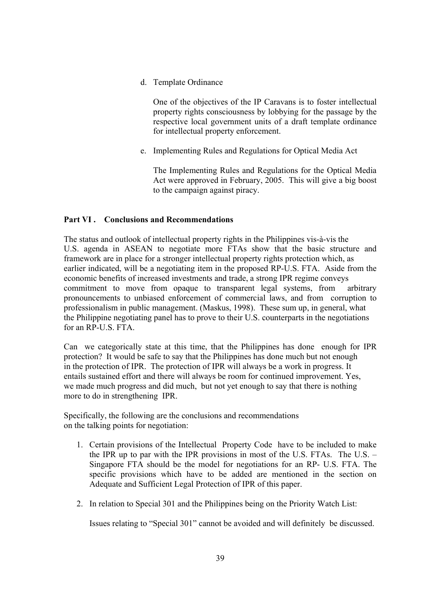d. Template Ordinance

One of the objectives of the IP Caravans is to foster intellectual property rights consciousness by lobbying for the passage by the respective local government units of a draft template ordinance for intellectual property enforcement.

e. Implementing Rules and Regulations for Optical Media Act

The Implementing Rules and Regulations for the Optical Media Act were approved in February, 2005. This will give a big boost to the campaign against piracy.

## **Part VI . Conclusions and Recommendations**

The status and outlook of intellectual property rights in the Philippines vis-à-vis the U.S. agenda in ASEAN to negotiate more FTAs show that the basic structure and framework are in place for a stronger intellectual property rights protection which, as earlier indicated, will be a negotiating item in the proposed RP-U.S. FTA. Aside from the economic benefits of increased investments and trade, a strong IPR regime conveys commitment to move from opaque to transparent legal systems, from arbitrary pronouncements to unbiased enforcement of commercial laws, and from corruption to professionalism in public management. (Maskus, 1998). These sum up, in general, what the Philippine negotiating panel has to prove to their U.S. counterparts in the negotiations for an RP-U.S. FTA.

Can we categorically state at this time, that the Philippines has done enough for IPR protection? It would be safe to say that the Philippines has done much but not enough in the protection of IPR. The protection of IPR will always be a work in progress. It entails sustained effort and there will always be room for continued improvement. Yes, we made much progress and did much, but not yet enough to say that there is nothing more to do in strengthening IPR.

Specifically, the following are the conclusions and recommendations on the talking points for negotiation:

- 1. Certain provisions of the Intellectual Property Code have to be included to make the IPR up to par with the IPR provisions in most of the U.S. FTAs. The U.S. – Singapore FTA should be the model for negotiations for an RP- U.S. FTA. The specific provisions which have to be added are mentioned in the section on Adequate and Sufficient Legal Protection of IPR of this paper.
- 2. In relation to Special 301 and the Philippines being on the Priority Watch List:

Issues relating to "Special 301" cannot be avoided and will definitely be discussed.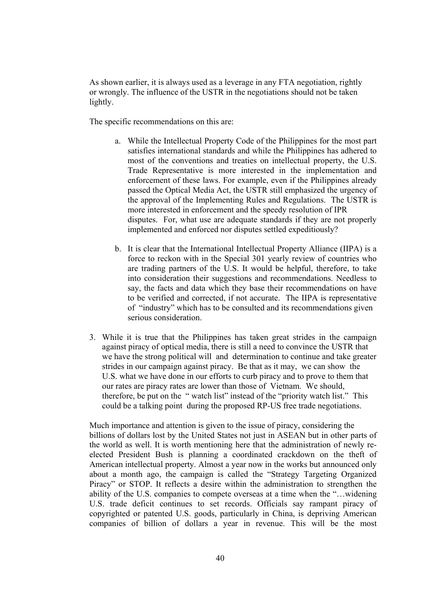As shown earlier, it is always used as a leverage in any FTA negotiation, rightly or wrongly. The influence of the USTR in the negotiations should not be taken lightly.

The specific recommendations on this are:

- a. While the Intellectual Property Code of the Philippines for the most part satisfies international standards and while the Philippines has adhered to most of the conventions and treaties on intellectual property, the U.S. Trade Representative is more interested in the implementation and enforcement of these laws. For example, even if the Philippines already passed the Optical Media Act, the USTR still emphasized the urgency of the approval of the Implementing Rules and Regulations. The USTR is more interested in enforcement and the speedy resolution of IPR disputes. For, what use are adequate standards if they are not properly implemented and enforced nor disputes settled expeditiously?
- b. It is clear that the International Intellectual Property Alliance (IIPA) is a force to reckon with in the Special 301 yearly review of countries who are trading partners of the U.S. It would be helpful, therefore, to take into consideration their suggestions and recommendations. Needless to say, the facts and data which they base their recommendations on have to be verified and corrected, if not accurate. The IIPA is representative of "industry" which has to be consulted and its recommendations given serious consideration.
- 3. While it is true that the Philippines has taken great strides in the campaign against piracy of optical media, there is still a need to convince the USTR that we have the strong political will and determination to continue and take greater strides in our campaign against piracy. Be that as it may, we can show the U.S. what we have done in our efforts to curb piracy and to prove to them that our rates are piracy rates are lower than those of Vietnam. We should, therefore, be put on the " watch list" instead of the "priority watch list." This could be a talking point during the proposed RP-US free trade negotiations.

 Much importance and attention is given to the issue of piracy, considering the billions of dollars lost by the United States not just in ASEAN but in other parts of the world as well. It is worth mentioning here that the administration of newly reelected President Bush is planning a coordinated crackdown on the theft of American intellectual property. Almost a year now in the works but announced only about a month ago, the campaign is called the "Strategy Targeting Organized Piracy" or STOP. It reflects a desire within the administration to strengthen the ability of the U.S. companies to compete overseas at a time when the "…widening U.S. trade deficit continues to set records. Officials say rampant piracy of copyrighted or patented U.S. goods, particularly in China, is depriving American companies of billion of dollars a year in revenue. This will be the most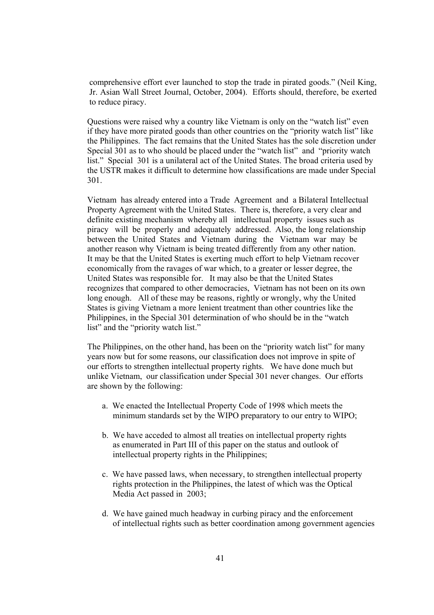comprehensive effort ever launched to stop the trade in pirated goods." (Neil King, Jr. Asian Wall Street Journal, October, 2004). Efforts should, therefore, be exerted to reduce piracy.

 Questions were raised why a country like Vietnam is only on the "watch list" even if they have more pirated goods than other countries on the "priority watch list" like the Philippines. The fact remains that the United States has the sole discretion under Special 301 as to who should be placed under the "watch list" and "priority watch list." Special 301 is a unilateral act of the United States. The broad criteria used by the USTR makes it difficult to determine how classifications are made under Special 301.

 Vietnam has already entered into a Trade Agreement and a Bilateral Intellectual Property Agreement with the United States. There is, therefore, a very clear and definite existing mechanism whereby all intellectual property issues such as piracy will be properly and adequately addressed. Also, the long relationship between the United States and Vietnam during the Vietnam war may be another reason why Vietnam is being treated differently from any other nation. It may be that the United States is exerting much effort to help Vietnam recover economically from the ravages of war which, to a greater or lesser degree, the United States was responsible for. It may also be that the United States recognizes that compared to other democracies, Vietnam has not been on its own long enough. All of these may be reasons, rightly or wrongly, why the United States is giving Vietnam a more lenient treatment than other countries like the Philippines, in the Special 301 determination of who should be in the "watch list" and the "priority watch list."

 The Philippines, on the other hand, has been on the "priority watch list" for many years now but for some reasons, our classification does not improve in spite of our efforts to strengthen intellectual property rights. We have done much but unlike Vietnam, our classification under Special 301 never changes. Our efforts are shown by the following:

- a. We enacted the Intellectual Property Code of 1998 which meets the minimum standards set by the WIPO preparatory to our entry to WIPO;
- b. We have acceded to almost all treaties on intellectual property rights as enumerated in Part III of this paper on the status and outlook of intellectual property rights in the Philippines;
- c. We have passed laws, when necessary, to strengthen intellectual property rights protection in the Philippines, the latest of which was the Optical Media Act passed in 2003;
- d. We have gained much headway in curbing piracy and the enforcement of intellectual rights such as better coordination among government agencies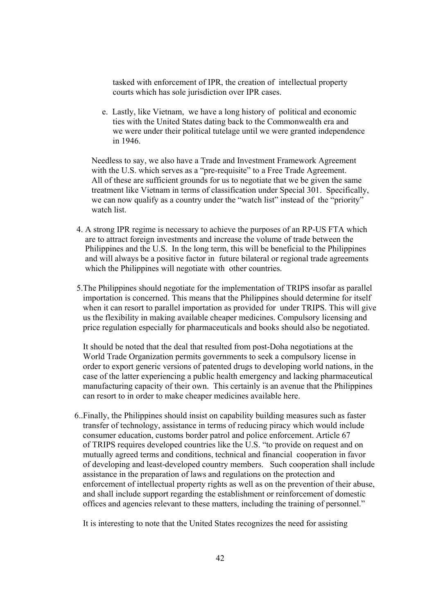tasked with enforcement of IPR, the creation of intellectual property courts which has sole jurisdiction over IPR cases.

 e. Lastly, like Vietnam, we have a long history of political and economic ties with the United States dating back to the Commonwealth era and we were under their political tutelage until we were granted independence in 1946.

 Needless to say, we also have a Trade and Investment Framework Agreement with the U.S. which serves as a "pre-requisite" to a Free Trade Agreement. All of these are sufficient grounds for us to negotiate that we be given the same treatment like Vietnam in terms of classification under Special 301. Specifically, we can now qualify as a country under the "watch list" instead of the "priority" watch list.

- 4. A strong IPR regime is necessary to achieve the purposes of an RP-US FTA which are to attract foreign investments and increase the volume of trade between the Philippines and the U.S. In the long term, this will be beneficial to the Philippines and will always be a positive factor in future bilateral or regional trade agreements which the Philippines will negotiate with other countries.
- 5.The Philippines should negotiate for the implementation of TRIPS insofar as parallel importation is concerned. This means that the Philippines should determine for itself when it can resort to parallel importation as provided for under TRIPS. This will give us the flexibility in making available cheaper medicines. Compulsory licensing and price regulation especially for pharmaceuticals and books should also be negotiated.

 It should be noted that the deal that resulted from post-Doha negotiations at the World Trade Organization permits governments to seek a compulsory license in order to export generic versions of patented drugs to developing world nations, in the case of the latter experiencing a public health emergency and lacking pharmaceutical manufacturing capacity of their own. This certainly is an avenue that the Philippines can resort to in order to make cheaper medicines available here.

 6..Finally, the Philippines should insist on capability building measures such as faster transfer of technology, assistance in terms of reducing piracy which would include consumer education, customs border patrol and police enforcement. Article 67 of TRIPS requires developed countries like the U.S. "to provide on request and on mutually agreed terms and conditions, technical and financial cooperation in favor of developing and least-developed country members. Such cooperation shall include assistance in the preparation of laws and regulations on the protection and enforcement of intellectual property rights as well as on the prevention of their abuse, and shall include support regarding the establishment or reinforcement of domestic offices and agencies relevant to these matters, including the training of personnel."

It is interesting to note that the United States recognizes the need for assisting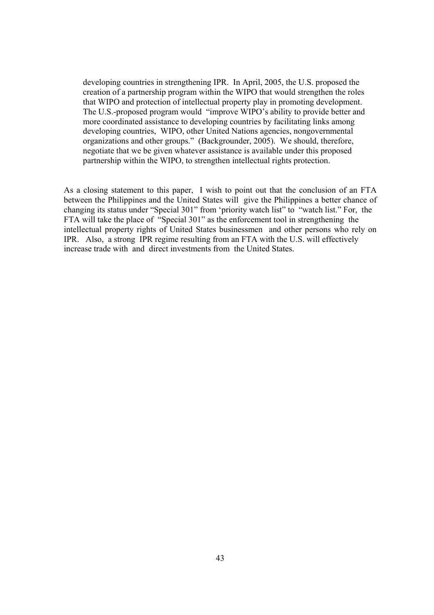developing countries in strengthening IPR. In April, 2005, the U.S. proposed the creation of a partnership program within the WIPO that would strengthen the roles that WIPO and protection of intellectual property play in promoting development. The U.S.-proposed program would "improve WIPO's ability to provide better and more coordinated assistance to developing countries by facilitating links among developing countries, WIPO, other United Nations agencies, nongovernmental organizations and other groups." (Backgrounder, 2005). We should, therefore, negotiate that we be given whatever assistance is available under this proposed partnership within the WIPO, to strengthen intellectual rights protection.

As a closing statement to this paper, I wish to point out that the conclusion of an FTA between the Philippines and the United States will give the Philippines a better chance of changing its status under "Special 301" from 'priority watch list" to "watch list." For, the FTA will take the place of "Special 301" as the enforcement tool in strengthening the intellectual property rights of United States businessmen and other persons who rely on IPR. Also, a strong IPR regime resulting from an FTA with the U.S. will effectively increase trade with and direct investments from the United States.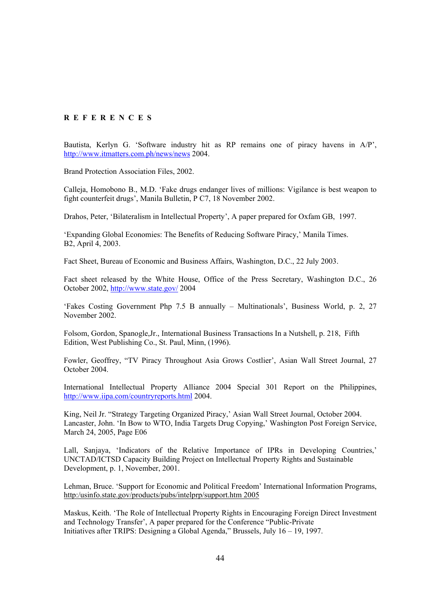#### **R E F E R E N C E S**

Bautista, Kerlyn G. 'Software industry hit as RP remains one of piracy havens in A/P', http://www.itmatters.com.ph/news/news 2004.

Brand Protection Association Files, 2002.

Calleja, Homobono B., M.D. 'Fake drugs endanger lives of millions: Vigilance is best weapon to fight counterfeit drugs', Manila Bulletin, P C7, 18 November 2002.

Drahos, Peter, 'Bilateralism in Intellectual Property', A paper prepared for Oxfam GB, 1997.

'Expanding Global Economies: The Benefits of Reducing Software Piracy,' Manila Times. B2, April 4, 2003.

Fact Sheet, Bureau of Economic and Business Affairs, Washington, D.C., 22 July 2003.

Fact sheet released by the White House, Office of the Press Secretary, Washington D.C., 26 October 2002, http://www.state.gov/ 2004

'Fakes Costing Government Php 7.5 B annually – Multinationals', Business World, p. 2, 27 November 2002.

Folsom, Gordon, Spanogle,Jr., International Business Transactions In a Nutshell, p. 218, Fifth Edition, West Publishing Co., St. Paul, Minn, (1996).

Fowler, Geoffrey, "TV Piracy Throughout Asia Grows Costlier', Asian Wall Street Journal, 27 October 2004.

International Intellectual Property Alliance 2004 Special 301 Report on the Philippines, http://www.iipa.com/countryreports.html 2004.

King, Neil Jr. "Strategy Targeting Organized Piracy,' Asian Wall Street Journal, October 2004. Lancaster, John. 'In Bow to WTO, India Targets Drug Copying,' Washington Post Foreign Service, March 24, 2005, Page E06

Lall, Sanjaya, 'Indicators of the Relative Importance of IPRs in Developing Countries,' UNCTAD/ICTSD Capacity Building Project on Intellectual Property Rights and Sustainable Development, p. 1, November, 2001.

Lehman, Bruce. 'Support for Economic and Political Freedom' International Information Programs, http:/usinfo.state.gov/products/pubs/intelprp/support.htm 2005

Maskus, Keith. 'The Role of Intellectual Property Rights in Encouraging Foreign Direct Investment and Technology Transfer', A paper prepared for the Conference "Public-Private Initiatives after TRIPS: Designing a Global Agenda," Brussels, July 16 – 19, 1997.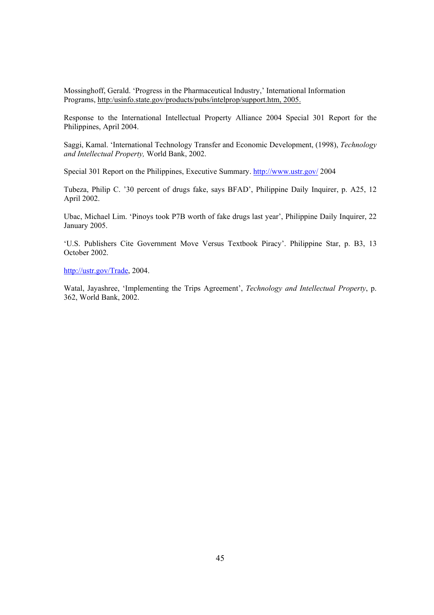Mossinghoff, Gerald. 'Progress in the Pharmaceutical Industry,' International Information Programs, http:/usinfo.state.gov/products/pubs/intelprop/support.htm, 2005.

Response to the International Intellectual Property Alliance 2004 Special 301 Report for the Philippines, April 2004.

Saggi, Kamal. 'International Technology Transfer and Economic Development, (1998), *Technology and Intellectual Property,* World Bank, 2002.

Special 301 Report on the Philippines, Executive Summary. http://www.ustr.gov/ 2004

Tubeza, Philip C. '30 percent of drugs fake, says BFAD', Philippine Daily Inquirer, p. A25, 12 April 2002.

Ubac, Michael Lim. 'Pinoys took P7B worth of fake drugs last year', Philippine Daily Inquirer, 22 January 2005.

'U.S. Publishers Cite Government Move Versus Textbook Piracy'. Philippine Star, p. B3, 13 October 2002.

http://ustr.gov/Trade, 2004.

Watal, Jayashree, 'Implementing the Trips Agreement', *Technology and Intellectual Property*, p. 362, World Bank, 2002.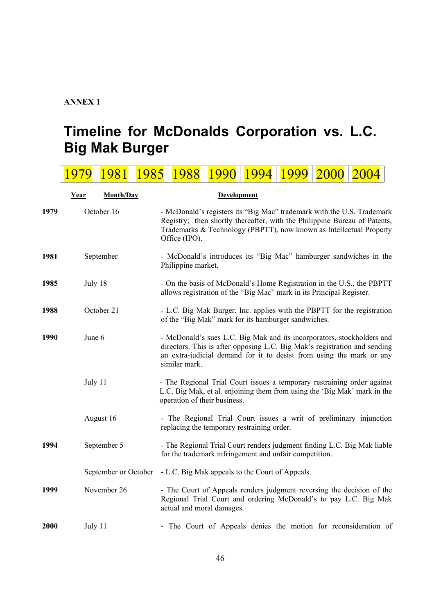# **ANNEX 1**

# **Timeline for McDonalds Corporation vs. L.C. Big Mak Burger**

 $1070$   $1091$   $1095$   $1099$   $1000$   $1004$   $1004$   $2000$   $2004$ 

|      | <u> 1979</u>      | 1981   1983   1988   1990 |  |                                                                                                                                                                                                                                              |  |  | 1994   1999   2000 |  | <u> 2004</u>                                                            |  |
|------|-------------------|---------------------------|--|----------------------------------------------------------------------------------------------------------------------------------------------------------------------------------------------------------------------------------------------|--|--|--------------------|--|-------------------------------------------------------------------------|--|
|      | Month/Day<br>Year |                           |  | <b>Development</b>                                                                                                                                                                                                                           |  |  |                    |  |                                                                         |  |
| 1979 | October 16        |                           |  | - McDonald's registers its "Big Mac" trademark with the U.S. Trademark<br>Registry; then shortly thereafter, with the Philippine Bureau of Patents,<br>Trademarks & Technology (PBPTT), now known as Intellectual Property<br>Office (IPO).  |  |  |                    |  |                                                                         |  |
| 1981 | September         |                           |  | - McDonald's introduces its "Big Mac" hamburger sandwiches in the<br>Philippine market.                                                                                                                                                      |  |  |                    |  |                                                                         |  |
| 1985 | July 18           |                           |  | - On the basis of McDonald's Home Registration in the U.S., the PBPTT<br>allows registration of the "Big Mac" mark in its Principal Register.                                                                                                |  |  |                    |  |                                                                         |  |
| 1988 | October 21        |                           |  | - L.C. Big Mak Burger, Inc. applies with the PBPTT for the registration<br>of the "Big Mak" mark for its hamburger sandwiches.                                                                                                               |  |  |                    |  |                                                                         |  |
| 1990 | June 6            |                           |  | - McDonald's sues L.C. Big Mak and its incorporators, stockholders and<br>directors. This is after opposing L.C. Big Mak's registration and sending<br>an extra-judicial demand for it to desist from using the mark or any<br>similar mark. |  |  |                    |  |                                                                         |  |
|      | July 11           |                           |  | - The Regional Trial Court issues a temporary restraining order against<br>L.C. Big Mak, et al. enjoining them from using the 'Big Mak' mark in the<br>operation of their business.                                                          |  |  |                    |  |                                                                         |  |
|      |                   | August 16                 |  | - The Regional Trial Court issues a writ of preliminary injunction<br>replacing the temporary restraining order.                                                                                                                             |  |  |                    |  |                                                                         |  |
| 1994 |                   | September 5               |  | for the trademark infringement and unfair competition.                                                                                                                                                                                       |  |  |                    |  | - The Regional Trial Court renders judgment finding L.C. Big Mak liable |  |
|      |                   | September or October      |  | - L.C. Big Mak appeals to the Court of Appeals.                                                                                                                                                                                              |  |  |                    |  |                                                                         |  |
| 1999 |                   | November 26               |  | - The Court of Appeals renders judgment reversing the decision of the<br>Regional Trial Court and ordering McDonald's to pay L.C. Big Mak<br>actual and moral damages.                                                                       |  |  |                    |  |                                                                         |  |
| 2000 | July 11           |                           |  |                                                                                                                                                                                                                                              |  |  |                    |  | - The Court of Appeals denies the motion for reconsideration of         |  |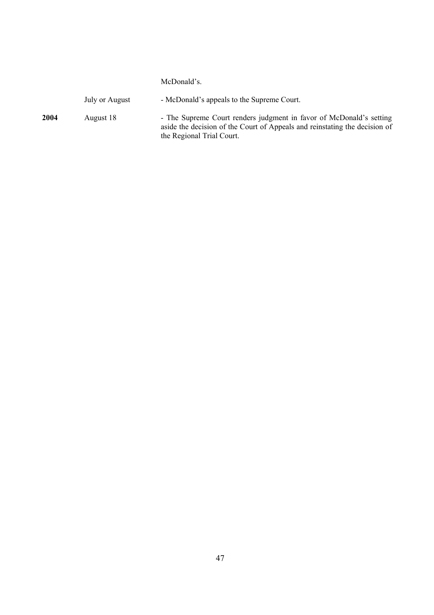#### McDonald's.

|      | July or August | - McDonald's appeals to the Supreme Court.                                                                                                                                     |
|------|----------------|--------------------------------------------------------------------------------------------------------------------------------------------------------------------------------|
| 2004 | August 18      | - The Supreme Court renders judgment in favor of McDonald's setting<br>aside the decision of the Court of Appeals and reinstating the decision of<br>the Regional Trial Court. |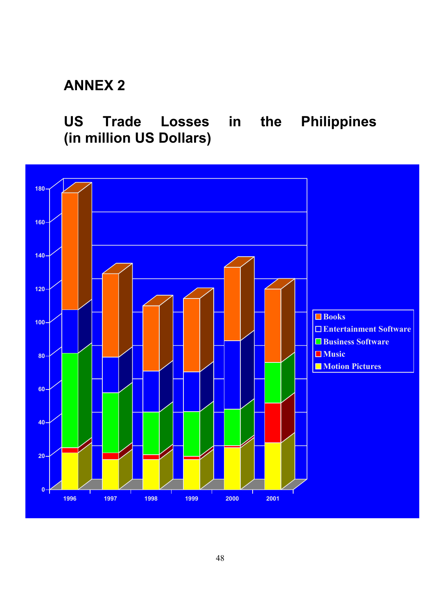# **ANNEX 2**

**US Trade Losses in the Philippines (in million US Dollars)**

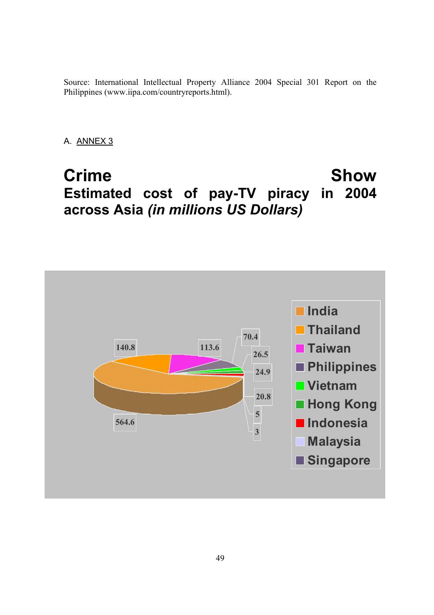Source: International Intellectual Property Alliance 2004 Special 301 Report on the Philippines (www.iipa.com/countryreports.html).

A. ANNEX 3

# **Crime Show Estimated cost of pay-TV piracy in 2004 across Asia** *(in millions US Dollars)*